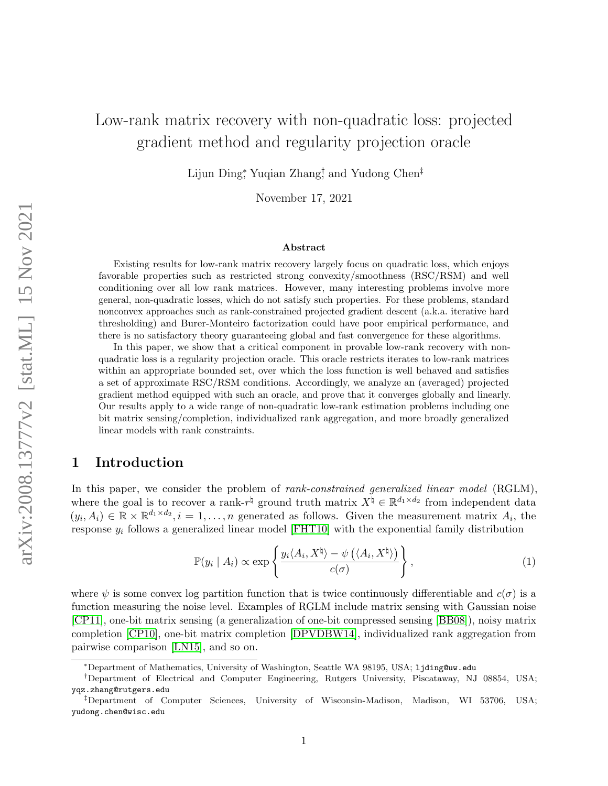# Low-rank matrix recovery with non-quadratic loss: projected gradient method and regularity projection oracle

Lijun Ding<sup>\*</sup>, Yuqian Zhang<sup>†</sup>, and Yudong Chen<sup>‡</sup>

November 17, 2021

#### Abstract

Existing results for low-rank matrix recovery largely focus on quadratic loss, which enjoys favorable properties such as restricted strong convexity/smoothness (RSC/RSM) and well conditioning over all low rank matrices. However, many interesting problems involve more general, non-quadratic losses, which do not satisfy such properties. For these problems, standard nonconvex approaches such as rank-constrained projected gradient descent (a.k.a. iterative hard thresholding) and Burer-Monteiro factorization could have poor empirical performance, and there is no satisfactory theory guaranteeing global and fast convergence for these algorithms.

In this paper, we show that a critical component in provable low-rank recovery with nonquadratic loss is a regularity projection oracle. This oracle restricts iterates to low-rank matrices within an appropriate bounded set, over which the loss function is well behaved and satisfies a set of approximate RSC/RSM conditions. Accordingly, we analyze an (averaged) projected gradient method equipped with such an oracle, and prove that it converges globally and linearly. Our results apply to a wide range of non-quadratic low-rank estimation problems including one bit matrix sensing/completion, individualized rank aggregation, and more broadly generalized linear models with rank constraints.

# 1 Introduction

In this paper, we consider the problem of *rank-constrained generalized linear model* (RGLM), where the goal is to recover a rank- $r^{\natural}$  ground truth matrix  $X^{\natural} \in \mathbb{R}^{d_1 \times d_2}$  from independent data  $(y_i, A_i) \in \mathbb{R} \times \mathbb{R}^{d_1 \times d_2}, i = 1, \ldots, n$  generated as follows. Given the measurement matrix  $A_i$ , the response  $y_i$  follows a generalized linear model [\[FHT10\]](#page-16-0) with the exponential family distribution

<span id="page-0-0"></span>
$$
\mathbb{P}(y_i \mid A_i) \propto \exp\left\{\frac{y_i \langle A_i, X^{\dagger} \rangle - \psi\left(\langle A_i, X^{\dagger} \rangle\right)}{c(\sigma)}\right\},\tag{1}
$$

where  $\psi$  is some convex log partition function that is twice continuously differentiable and  $c(\sigma)$  is a function measuring the noise level. Examples of RGLM include matrix sensing with Gaussian noise [\[CP11\]](#page-15-0), one-bit matrix sensing (a generalization of one-bit compressed sensing [\[BB08\]](#page-15-1)), noisy matrix completion [\[CP10\]](#page-15-2), one-bit matrix completion [\[DPVDBW14\]](#page-16-1), individualized rank aggregation from pairwise comparison [\[LN15\]](#page-16-2), and so on.

<sup>∗</sup>Department of Mathematics, University of Washington, Seattle WA 98195, USA; ljding@uw.edu

<sup>†</sup>Department of Electrical and Computer Engineering, Rutgers University, Piscataway, NJ 08854, USA; yqz.zhang@rutgers.edu

<sup>‡</sup>Department of Computer Sciences, University of Wisconsin-Madison, Madison, WI 53706, USA; yudong.chen@wisc.edu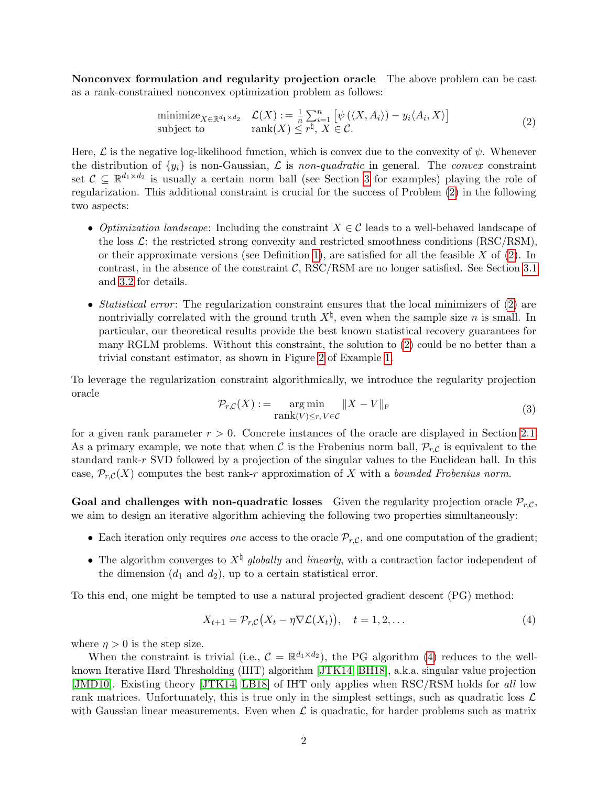Nonconvex formulation and regularity projection oracle The above problem can be cast as a rank-constrained nonconvex optimization problem as follows:

<span id="page-1-0"></span>
$$
\begin{array}{ll}\n\text{minimize}_{X \in \mathbb{R}^{d_1 \times d_2}} & \mathcal{L}(X) := \frac{1}{n} \sum_{i=1}^n \left[ \psi \left( \langle X, A_i \rangle \right) - y_i \langle A_i, X \rangle \right] \\
\text{subject to} & \text{rank}(X) \le r^\natural, \ X \in \mathcal{C}.\n\end{array} \tag{2}
$$

Here,  $\mathcal L$  is the negative log-likelihood function, which is convex due to the convexity of  $\psi$ . Whenever the distribution of  $\{y_i\}$  is non-Gaussian,  $\mathcal L$  is non-quadratic in general. The convex constraint set  $\mathcal{C} \subseteq \mathbb{R}^{d_1 \times d_2}$  is usually a certain norm ball (see Section [3](#page-7-0) for examples) playing the role of regularization. This additional constraint is crucial for the success of Problem [\(2\)](#page-1-0) in the following two aspects:

- Optimization landscape: Including the constraint  $X \in \mathcal{C}$  leads to a well-behaved landscape of the loss  $\mathcal{L}$ : the restricted strong convexity and restricted smoothness conditions (RSC/RSM), or their approximate versions (see Definition [1\)](#page-6-0), are satisfied for all the feasible  $X$  of [\(2\)](#page-1-0). In contrast, in the absence of the constraint  $C$ , RSC/RSM are no longer satisfied. See Section [3.1](#page-8-0) and [3.2](#page-10-0) for details.
- Statistical error: The regularization constraint ensures that the local minimizers of  $(2)$  are nontrivially correlated with the ground truth  $X^{\dagger}$ , even when the sample size n is small. In particular, our theoretical results provide the best known statistical recovery guarantees for many RGLM problems. Without this constraint, the solution to [\(2\)](#page-1-0) could be no better than a trivial constant estimator, as shown in Figure [2](#page-9-0) of Example [1.](#page-8-1)

<span id="page-1-2"></span>To leverage the regularization constraint algorithmically, we introduce the regularity projection oracle

$$
\mathcal{P}_{r,C}(X) := \underset{\text{rank}(V) \le r, V \in \mathcal{C}}{\arg \min} \|X - V\|_{\text{F}}
$$
\n(3)

for a given rank parameter  $r > 0$ . Concrete instances of the oracle are displayed in Section [2.1.](#page-4-0) As a primary example, we note that when C is the Frobenius norm ball,  $\mathcal{P}_{r,C}$  is equivalent to the standard rank-r SVD followed by a projection of the singular values to the Euclidean ball. In this case,  $\mathcal{P}_{r,C}(X)$  computes the best rank-r approximation of X with a bounded Frobenius norm.

Goal and challenges with non-quadratic losses Given the regularity projection oracle  $\mathcal{P}_{r,C}$ , we aim to design an iterative algorithm achieving the following two properties simultaneously:

- Each iteration only requires *one* access to the oracle  $\mathcal{P}_{r,C}$ , and one computation of the gradient;
- The algorithm converges to  $X^{\dagger}$  globally and linearly, with a contraction factor independent of the dimension  $(d_1 \text{ and } d_2)$ , up to a certain statistical error.

To this end, one might be tempted to use a natural projected gradient descent (PG) method:

<span id="page-1-1"></span>
$$
X_{t+1} = \mathcal{P}_{r,C}(X_t - \eta \nabla \mathcal{L}(X_t)), \quad t = 1, 2, \dots
$$
 (4)

where  $\eta > 0$  is the step size.

When the constraint is trivial (i.e.,  $\mathcal{C} = \mathbb{R}^{d_1 \times d_2}$ ), the PG algorithm [\(4\)](#page-1-1) reduces to the wellknown Iterative Hard Thresholding (IHT) algorithm [\[JTK14,](#page-16-3) [BH18\]](#page-15-3), a.k.a. singular value projection [\[JMD10\]](#page-16-4). Existing theory [\[JTK14,](#page-16-3) [LB18\]](#page-16-5) of IHT only applies when RSC/RSM holds for all low rank matrices. Unfortunately, this is true only in the simplest settings, such as quadratic loss  $\mathcal{L}$ with Gaussian linear measurements. Even when  $\mathcal L$  is quadratic, for harder problems such as matrix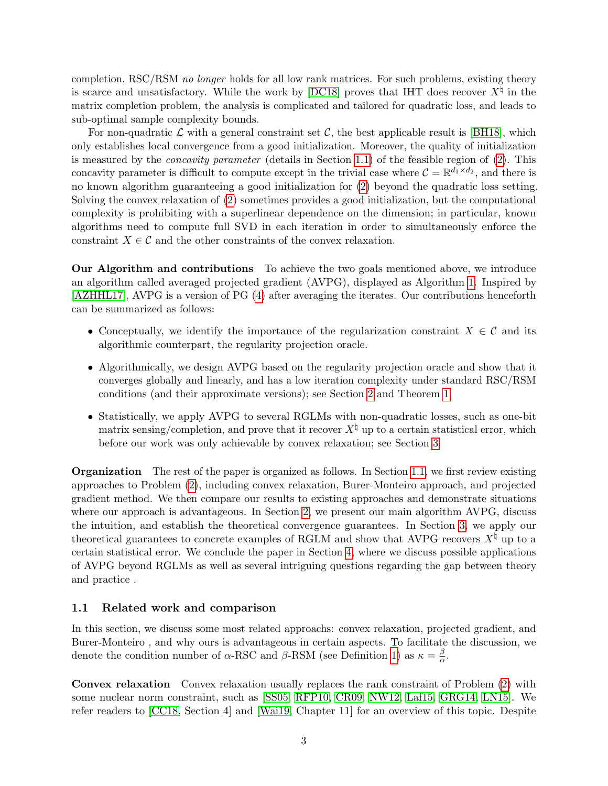completion, RSC/RSM no longer holds for all low rank matrices. For such problems, existing theory is scarce and unsatisfactory. While the work by [\[DC18\]](#page-16-6) proves that IHT does recover  $X^{\natural}$  in the matrix completion problem, the analysis is complicated and tailored for quadratic loss, and leads to sub-optimal sample complexity bounds.

For non-quadratic  $\mathcal L$  with a general constraint set  $\mathcal C$ , the best applicable result is [\[BH18\]](#page-15-3), which only establishes local convergence from a good initialization. Moreover, the quality of initialization is measured by the *concavity parameter* (details in Section [1.1\)](#page-2-0) of the feasible region of  $(2)$ . This concavity parameter is difficult to compute except in the trivial case where  $\mathcal{C} = \mathbb{R}^{d_1 \times d_2}$ , and there is no known algorithm guaranteeing a good initialization for [\(2\)](#page-1-0) beyond the quadratic loss setting. Solving the convex relaxation of [\(2\)](#page-1-0) sometimes provides a good initialization, but the computational complexity is prohibiting with a superlinear dependence on the dimension; in particular, known algorithms need to compute full SVD in each iteration in order to simultaneously enforce the constraint  $X \in \mathcal{C}$  and the other constraints of the convex relaxation.

Our Algorithm and contributions To achieve the two goals mentioned above, we introduce an algorithm called averaged projected gradient (AVPG), displayed as Algorithm [1.](#page-4-1) Inspired by [\[AZHHL17\]](#page-15-4), AVPG is a version of PG [\(4\)](#page-1-1) after averaging the iterates. Our contributions henceforth can be summarized as follows:

- Conceptually, we identify the importance of the regularization constraint  $X \in \mathcal{C}$  and its algorithmic counterpart, the regularity projection oracle.
- Algorithmically, we design AVPG based on the regularity projection oracle and show that it converges globally and linearly, and has a low iteration complexity under standard RSC/RSM conditions (and their approximate versions); see Section [2](#page-4-2) and Theorem [1.](#page-6-1)
- Statistically, we apply AVPG to several RGLMs with non-quadratic losses, such as one-bit matrix sensing/completion, and prove that it recover  $X^{\dagger}$  up to a certain statistical error, which before our work was only achievable by convex relaxation; see Section [3.](#page-7-0)

Organization The rest of the paper is organized as follows. In Section [1.1,](#page-2-0) we first review existing approaches to Problem [\(2\)](#page-1-0), including convex relaxation, Burer-Monteiro approach, and projected gradient method. We then compare our results to existing approaches and demonstrate situations where our approach is advantageous. In Section [2,](#page-4-2) we present our main algorithm AVPG, discuss the intuition, and establish the theoretical convergence guarantees. In Section [3,](#page-7-0) we apply our theoretical guarantees to concrete examples of RGLM and show that AVPG recovers  $X^{\natural}$  up to a certain statistical error. We conclude the paper in Section [4,](#page-14-0) where we discuss possible applications of AVPG beyond RGLMs as well as several intriguing questions regarding the gap between theory and practice .

#### <span id="page-2-0"></span>1.1 Related work and comparison

In this section, we discuss some most related approachs: convex relaxation, projected gradient, and Burer-Monteiro , and why ours is advantageous in certain aspects. To facilitate the discussion, we denote the condition number of  $\alpha$ -RSC and  $\beta$ -RSM (see Definition [1\)](#page-6-0) as  $\kappa = \frac{\beta}{\alpha}$  $\frac{\beta}{\alpha}$ .

Convex relaxation Convex relaxation usually replaces the rank constraint of Problem [\(2\)](#page-1-0) with some nuclear norm constraint, such as [\[SS05,](#page-17-0) [RFP10,](#page-17-1) [CR09,](#page-15-5) [NW12,](#page-17-2) [Laf15,](#page-16-7) [GRG14,](#page-16-8) [LN15\]](#page-16-2). We refer readers to [\[CC18,](#page-15-6) Section 4] and [\[Wai19,](#page-17-3) Chapter 11] for an overview of this topic. Despite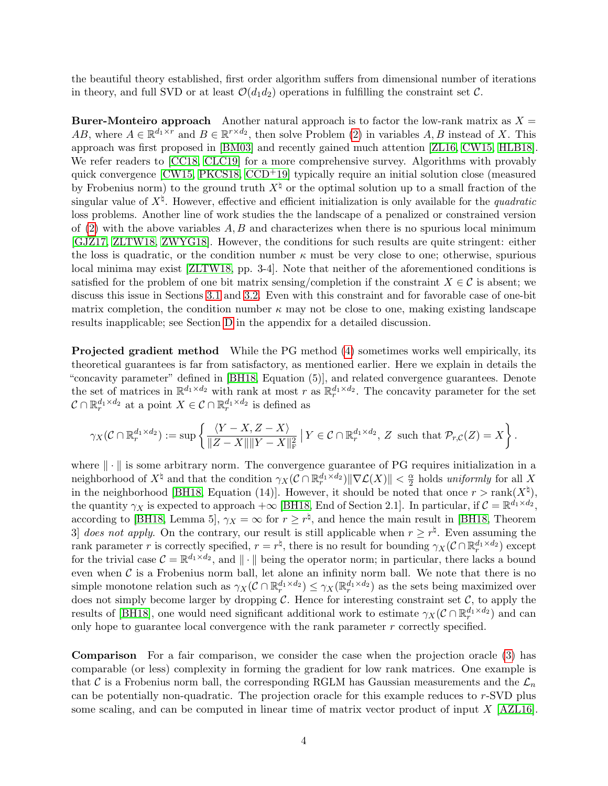the beautiful theory established, first order algorithm suffers from dimensional number of iterations in theory, and full SVD or at least  $\mathcal{O}(d_1 d_2)$  operations in fulfilling the constraint set C.

**Burer-Monteiro approach** Another natural approach is to factor the low-rank matrix as  $X =$ AB, where  $A \in \mathbb{R}^{d_1 \times r}$  and  $B \in \mathbb{R}^{r \times d_2}$ , then solve Problem [\(2\)](#page-1-0) in variables A, B instead of X. This approach was first proposed in [\[BM03\]](#page-15-7) and recently gained much attention [\[ZL16,](#page-17-4) [CW15,](#page-15-8) [HLB18\]](#page-16-9). We refer readers to [\[CC18,](#page-15-6) [CLC19\]](#page-15-9) for a more comprehensive survey. Algorithms with provably quick convergence  $[CW15, PKCS18, CCD<sup>+</sup>19]$  $[CW15, PKCS18, CCD<sup>+</sup>19]$  $[CW15, PKCS18, CCD<sup>+</sup>19]$  $[CW15, PKCS18, CCD<sup>+</sup>19]$  $[CW15, PKCS18, CCD<sup>+</sup>19]$  $[CW15, PKCS18, CCD<sup>+</sup>19]$  typically require an initial solution close (measured by Frobenius norm) to the ground truth  $X^{\natural}$  or the optimal solution up to a small fraction of the singular value of  $X^{\natural}$ . However, effective and efficient initialization is only available for the *quadratic* loss problems. Another line of work studies the the landscape of a penalized or constrained version of  $(2)$  with the above variables A, B and characterizes when there is no spurious local minimum [\[GJZ17,](#page-16-10) [ZLTW18,](#page-17-6) [ZWYG18\]](#page-17-7). However, the conditions for such results are quite stringent: either the loss is quadratic, or the condition number  $\kappa$  must be very close to one; otherwise, spurious local minima may exist [\[ZLTW18,](#page-17-6) pp. 3-4]. Note that neither of the aforementioned conditions is satisfied for the problem of one bit matrix sensing/completion if the constraint  $X \in \mathcal{C}$  is absent; we discuss this issue in Sections [3.1](#page-8-0) and [3.2.](#page-10-0) Even with this constraint and for favorable case of one-bit matrix completion, the condition number  $\kappa$  may not be close to one, making existing landscape results inapplicable; see Section [D](#page-28-0) in the appendix for a detailed discussion.

Projected gradient method While the PG method [\(4\)](#page-1-1) sometimes works well empirically, its theoretical guarantees is far from satisfactory, as mentioned earlier. Here we explain in details the "concavity parameter" defined in [\[BH18,](#page-15-3) Equation (5)], and related convergence guarantees. Denote the set of matrices in  $\mathbb{R}^{d_1 \times d_2}$  with rank at most r as  $\mathbb{R}^{d_1 \times d_2}_r$ . The concavity parameter for the set  $\mathcal{C} \cap \mathbb{R}^{d_1 \times d_2}_r$  at a point  $X \in \mathcal{C} \cap \mathbb{R}^{d_1 \times d_2}_r$  is defined as

$$
\gamma_X(\mathcal{C} \cap \mathbb{R}_r^{d_1 \times d_2}) := \sup \left\{ \frac{\langle Y - X, Z - X \rangle}{\|Z - X\| \|Y - X\|_{\mathrm{F}}^2} \, \big| \, Y \in \mathcal{C} \cap \mathbb{R}_r^{d_1 \times d_2}, \, Z \text{ such that } \mathcal{P}_{r,\mathcal{C}}(Z) = X \right\}.
$$

where  $\|\cdot\|$  is some arbitrary norm. The convergence guarantee of PG requires initialization in a neighborhood of  $X^\natural$  and that the condition  $\gamma_X(\mathcal{C} \cap \mathbb{R}^{d_1 \times d_2}_r) \|\nabla \mathcal{L}(X)\| < \frac{\alpha}{2}$  $\frac{\alpha}{2}$  holds uniformly for all X in the neighborhood [\[BH18,](#page-15-3) Equation (14)]. However, it should be noted that once  $r > \text{rank}(X^{\natural})$ , the quantity  $\gamma_X$  is expected to approach  $+\infty$  [\[BH18,](#page-15-3) End of Section 2.1]. In particular, if  $\mathcal{C} = \mathbb{R}^{d_1 \times d_2}$ , according to [\[BH18,](#page-15-3) Lemma 5],  $\gamma_X = \infty$  for  $r \geq r^{\natural}$ , and hence the main result in [BH18, Theorem 3 does not apply. On the contrary, our result is still applicable when  $r \geq r^{\natural}$ . Even assuming the rank parameter r is correctly specified,  $r = r^{\frac{1}{4}}$ , there is no result for bounding  $\gamma_X(\mathcal{C} \cap \mathbb{R}^{d_1 \times d_2}_r)$  except for the trivial case  $\mathcal{C} = \mathbb{R}^{d_1 \times d_2}$ , and  $\|\cdot\|$  being the operator norm; in particular, there lacks a bound even when  $\mathcal C$  is a Frobenius norm ball, let alone an infinity norm ball. We note that there is no simple monotone relation such as  $\gamma_X(C \cap \mathbb{R}^{d_1 \times d_2}_r) \leq \gamma_X(\mathbb{R}^{d_1 \times d_2}_r)$  as the sets being maximized over does not simply become larger by dropping  $C$ . Hence for interesting constraint set  $C$ , to apply the results of [\[BH18\]](#page-15-3), one would need significant additional work to estimate  $\gamma_X(\mathcal{C} \cap \mathbb{R}^{d_1 \times d_2}_r)$  and can only hope to guarantee local convergence with the rank parameter r correctly specified.

Comparison For a fair comparison, we consider the case when the projection oracle [\(3\)](#page-1-2) has comparable (or less) complexity in forming the gradient for low rank matrices. One example is that C is a Frobenius norm ball, the corresponding RGLM has Gaussian measurements and the  $\mathcal{L}_n$ can be potentially non-quadratic. The projection oracle for this example reduces to r-SVD plus some scaling, and can be computed in linear time of matrix vector product of input X [\[AZL16\]](#page-15-11).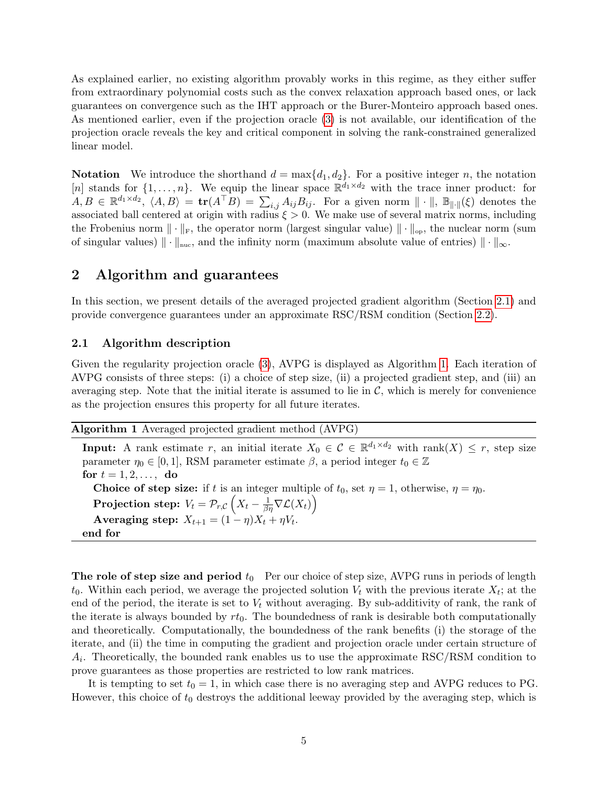As explained earlier, no existing algorithm provably works in this regime, as they either suffer from extraordinary polynomial costs such as the convex relaxation approach based ones, or lack guarantees on convergence such as the IHT approach or the Burer-Monteiro approach based ones. As mentioned earlier, even if the projection oracle [\(3\)](#page-1-2) is not available, our identification of the projection oracle reveals the key and critical component in solving the rank-constrained generalized linear model.

**Notation** We introduce the shorthand  $d = \max\{d_1, d_2\}$ . For a positive integer n, the notation [n] stands for  $\{1,\ldots,n\}$ . We equip the linear space  $\mathbb{R}^{d_1 \times d_2}$  with the trace inner product: for  $A, B \in \mathbb{R}^{d_1 \times d_2}$ ,  $\langle A, B \rangle = \text{tr}(A^{\top}B) = \sum_{i,j} A_{ij} B_{ij}$ . For a given norm  $\|\cdot\|$ ,  $\mathbb{B}_{\|\cdot\|}(\xi)$  denotes the associated ball centered at origin with radius  $\xi > 0$ . We make use of several matrix norms, including the Frobenius norm  $\|\cdot\|_{\text{F}}$ , the operator norm (largest singular value)  $\|\cdot\|_{\text{op}}$ , the nuclear norm (sum of singular values)  $\|\cdot\|_{\text{nuc}}$ , and the infinity norm (maximum absolute value of entries)  $\|\cdot\|_{\infty}$ .

### <span id="page-4-2"></span>2 Algorithm and guarantees

In this section, we present details of the averaged projected gradient algorithm (Section [2.1\)](#page-4-0) and provide convergence guarantees under an approximate RSC/RSM condition (Section [2.2\)](#page-5-0).

#### <span id="page-4-0"></span>2.1 Algorithm description

Given the regularity projection oracle [\(3\)](#page-1-2), AVPG is displayed as Algorithm [1.](#page-4-1) Each iteration of AVPG consists of three steps: (i) a choice of step size, (ii) a projected gradient step, and (iii) an averaging step. Note that the initial iterate is assumed to lie in  $\mathcal{C}$ , which is merely for convenience as the projection ensures this property for all future iterates.

<span id="page-4-1"></span>Algorithm 1 Averaged projected gradient method (AVPG)

**Input:** A rank estimate r, an initial iterate  $X_0 \in \mathcal{C} \in \mathbb{R}^{d_1 \times d_2}$  with rank $(X) \leq r$ , step size parameter  $\eta_0 \in [0,1]$ , RSM parameter estimate  $\beta$ , a period integer  $t_0 \in \mathbb{Z}$ for  $t = 1, 2, \ldots, d$ o **Choice of step size:** if t is an integer multiple of  $t_0$ , set  $\eta = 1$ , otherwise,  $\eta = \eta_0$ . Projection step:  $V_t = \mathcal{P}_{r, \mathcal{C}}\left(X_t - \frac{1}{\beta \eta} \nabla \mathcal{L}(X_t)\right)$ Averaging step:  $X_{t+1} = (1 - \eta)X_t + \eta V_t$ . end for

**The role of step size and period**  $t_0$  Per our choice of step size, AVPG runs in periods of length  $t_0$ . Within each period, we average the projected solution  $V_t$  with the previous iterate  $X_t$ ; at the end of the period, the iterate is set to  $V_t$  without averaging. By sub-additivity of rank, the rank of the iterate is always bounded by  $rt_0$ . The boundedness of rank is desirable both computationally and theoretically. Computationally, the boundedness of the rank benefits (i) the storage of the iterate, and (ii) the time in computing the gradient and projection oracle under certain structure of  $A_i$ . Theoretically, the bounded rank enables us to use the approximate RSC/RSM condition to prove guarantees as those properties are restricted to low rank matrices.

It is tempting to set  $t_0 = 1$ , in which case there is no averaging step and AVPG reduces to PG. However, this choice of  $t_0$  destroys the additional leeway provided by the averaging step, which is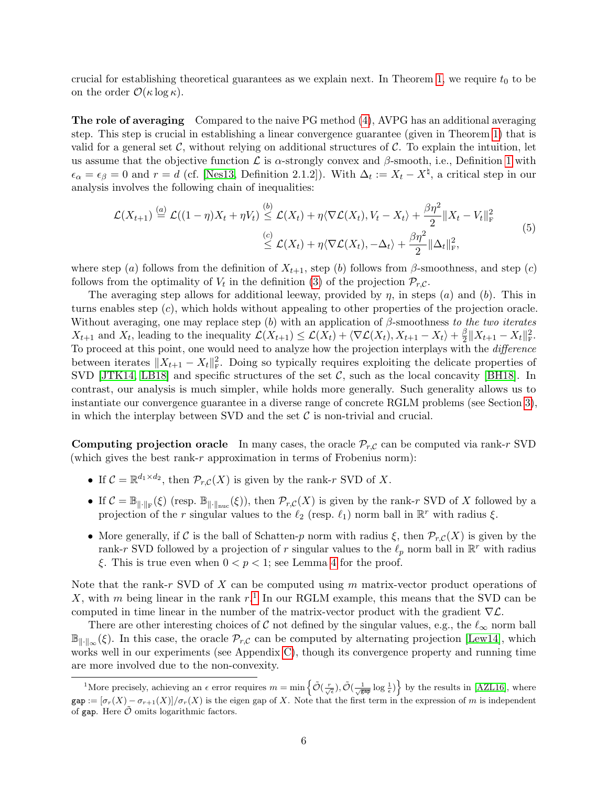crucial for establishing theoretical guarantees as we explain next. In Theorem [1,](#page-6-1) we require  $t_0$  to be on the order  $\mathcal{O}(\kappa \log \kappa)$ .

The role of averaging Compared to the naive PG method [\(4\)](#page-1-1), AVPG has an additional averaging step. This step is crucial in establishing a linear convergence guarantee (given in Theorem [1\)](#page-6-1) that is valid for a general set  $\mathcal{C}$ , without relying on additional structures of  $\mathcal{C}$ . To explain the intuition, let us assume that the objective function  $\mathcal L$  is  $\alpha$ -strongly convex and  $\beta$ -smooth, i.e., Definition [1](#page-6-0) with  $\epsilon_{\alpha} = \epsilon_{\beta} = 0$  and  $r = d$  (cf. [\[Nes13,](#page-17-8) Definition 2.1.2]). With  $\Delta_t := X_t - X^{\sharp}$ , a critical step in our analysis involves the following chain of inequalities:

$$
\mathcal{L}(X_{t+1}) \stackrel{(a)}{=} \mathcal{L}((1-\eta)X_t + \eta V_t) \stackrel{(b)}{\leq} \mathcal{L}(X_t) + \eta \langle \nabla \mathcal{L}(X_t), V_t - X_t \rangle + \frac{\beta \eta^2}{2} \|X_t - V_t\|_{\mathrm{F}}^2
$$
\n
$$
\stackrel{(c)}{\leq} \mathcal{L}(X_t) + \eta \langle \nabla \mathcal{L}(X_t), -\Delta_t \rangle + \frac{\beta \eta^2}{2} \|\Delta_t\|_{\mathrm{F}}^2,
$$
\n
$$
(5)
$$

where step (a) follows from the definition of  $X_{t+1}$ , step (b) follows from β-smoothness, and step (c) follows from the optimality of  $V_t$  in the definition [\(3\)](#page-1-2) of the projection  $\mathcal{P}_{r,C}$ .

The averaging step allows for additional leeway, provided by  $\eta$ , in steps (a) and (b). This in turns enables step  $(c)$ , which holds without appealing to other properties of the projection oracle. Without averaging, one may replace step  $(b)$  with an application of  $\beta$ -smoothness to the two iterates  $X_{t+1}$  and  $X_t$ , leading to the inequality  $\mathcal{L}(X_{t+1}) \leq \mathcal{L}(X_t) + \langle \nabla \mathcal{L}(X_t), X_{t+1} - X_t \rangle + \frac{\beta}{2}$  $\frac{\beta}{2} \|X_{t+1} - X_t\|_{\rm F}^2.$ To proceed at this point, one would need to analyze how the projection interplays with the difference between iterates  $||X_{t+1} - X_t||^2$ . Doing so typically requires exploiting the delicate properties of SVD [\[JTK14,](#page-16-3) [LB18\]](#page-16-5) and specific structures of the set  $C$ , such as the local concavity [\[BH18\]](#page-15-3). In contrast, our analysis is much simpler, while holds more generally. Such generality allows us to instantiate our convergence guarantee in a diverse range of concrete RGLM problems (see Section [3\)](#page-7-0), in which the interplay between SVD and the set  $\mathcal C$  is non-trivial and crucial.

**Computing projection oracle** In many cases, the oracle  $\mathcal{P}_{r,C}$  can be computed via rank-r SVD (which gives the best rank- $r$  approximation in terms of Frobenius norm):

- If  $C = \mathbb{R}^{d_1 \times d_2}$ , then  $\mathcal{P}_{r,C}(X)$  is given by the rank-r SVD of X.
- If  $\mathcal{C} = \mathbb{B}_{\|\cdot\|_{\text{F}}}(\xi)$  (resp.  $\mathbb{B}_{\|\cdot\|_{\text{punc}}}(\xi)$ ), then  $\mathcal{P}_{r,\mathcal{C}}(X)$  is given by the rank-r SVD of X followed by a projection of the r singular values to the  $\ell_2$  (resp.  $\ell_1$ ) norm ball in  $\mathbb{R}^r$  with radius  $\xi$ .
- More generally, if C is the ball of Schatten-p norm with radius  $\xi$ , then  $\mathcal{P}_{r,C}(X)$  is given by the rank-r SVD followed by a projection of r singular values to the  $\ell_p$  norm ball in  $\mathbb{R}^r$  with radius ξ. This is true even when  $0 < p < 1$ ; see Lemma [4](#page-18-0) for the proof.

Note that the rank-r SVD of  $X$  can be computed using  $m$  matrix-vector product operations of X, with m being linear in the rank  $r<sup>1</sup>$  $r<sup>1</sup>$  $r<sup>1</sup>$  In our RGLM example, this means that the SVD can be computed in time linear in the number of the matrix-vector product with the gradient  $\nabla \mathcal{L}$ .

There are other interesting choices of C not defined by the singular values, e.g., the  $\ell_{\infty}$  norm ball  $\mathbb{B}_{\|\cdot\|_{\infty}}(\xi)$ . In this case, the oracle  $\mathcal{P}_{r,C}$  can be computed by alternating projection [\[Lew14\]](#page-16-11), which works well in our experiments (see Appendix [C\)](#page-27-0), though its convergence property and running time are more involved due to the non-convexity.

<span id="page-5-1"></span><span id="page-5-0"></span><sup>&</sup>lt;sup>1</sup>More precisely, achieving an  $\epsilon$  error requires  $m = \min \left\{ \tilde{\mathcal{O}}\left(\frac{r}{\sqrt{\epsilon}}\right), \tilde{\mathcal{O}}\left(\frac{1}{\sqrt{\epsilon}^{\alpha p}}\log \frac{1}{\epsilon}\right) \right\}$  by the results in [\[AZL16\]](#page-15-11), where  $gap := [\sigma_r(X) - \sigma_{r+1}(X)]/\sigma_r(X)$  is the eigen gap of X. Note that the first term in the expression of m is independent of gap. Here  $\hat{\mathcal{O}}$  omits logarithmic factors.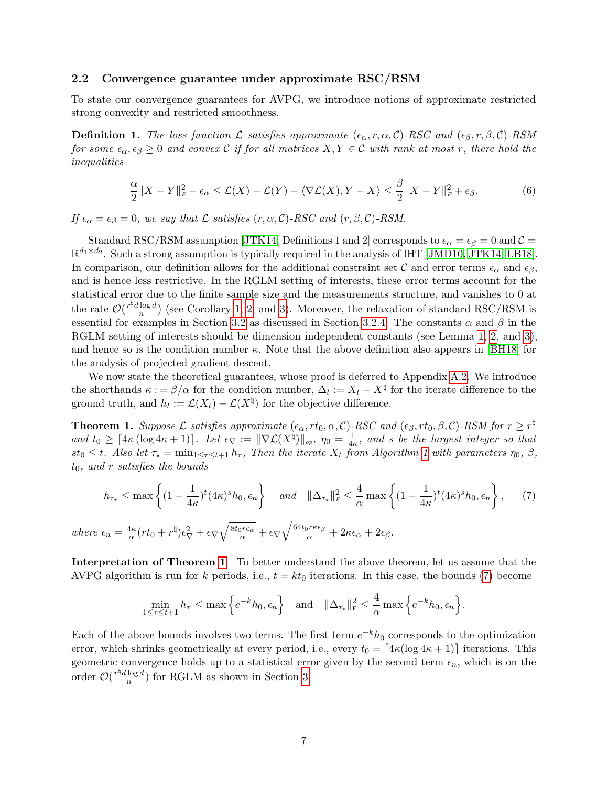#### 2.2 Convergence guarantee under approximate RSC/RSM

To state our convergence guarantees for AVPG, we introduce notions of approximate restricted strong convexity and restricted smoothness.

<span id="page-6-0"></span>**Definition 1.** The loss function L satisfies approximate  $(\epsilon_{\alpha}, r, \alpha, C)$ -RSC and  $(\epsilon_{\beta}, r, \beta, C)$ -RSM for some  $\epsilon_{\alpha}, \epsilon_{\beta} \geq 0$  and convex C if for all matrices  $X, Y \in \mathcal{C}$  with rank at most r, there hold the inequalities

<span id="page-6-3"></span>
$$
\frac{\alpha}{2}||X - Y||_F^2 - \epsilon_\alpha \le \mathcal{L}(X) - \mathcal{L}(Y) - \langle \nabla \mathcal{L}(X), Y - X \rangle \le \frac{\beta}{2}||X - Y||_F^2 + \epsilon_\beta. \tag{6}
$$

If  $\epsilon_{\alpha} = \epsilon_{\beta} = 0$ , we say that  $\mathcal L$  satisfies  $(r, \alpha, \mathcal C)$ -RSC and  $(r, \beta, \mathcal C)$ -RSM.

Standard RSC/RSM assumption [\[JTK14,](#page-16-3) Definitions 1 and 2] corresponds to  $\epsilon_{\alpha} = \epsilon_{\beta} = 0$  and  $\mathcal{C} =$  $\mathbb{R}^{d_1 \times d_2}$ . Such a strong assumption is typically required in the analysis of IHT [\[JMD10,](#page-16-4) [JTK14,](#page-16-3) [LB18\]](#page-16-5). In comparison, our definition allows for the additional constraint set C and error terms  $\epsilon_{\alpha}$  and  $\epsilon_{\beta}$ , and is hence less restrictive. In the RGLM setting of interests, these error terms account for the statistical error due to the finite sample size and the measurements structure, and vanishes to 0 at the rate  $\mathcal{O}(\frac{r^{\natural}d \log d}{n})$  $\frac{\log a}{n}$ ) (see Corollary [1,](#page-10-1) [2,](#page-11-0) and [3\)](#page-14-1). Moreover, the relaxation of standard RSC/RSM is essential for examples in Section [3.2](#page-10-0) as discussed in Section [3.2.4.](#page-12-0) The constants  $\alpha$  and  $\beta$  in the RGLM setting of interests should be dimension independent constants (see Lemma [1,](#page-9-1) [2,](#page-11-1) and [3\)](#page-13-0). and hence so is the condition number  $\kappa$ . Note that the above definition also appears in [\[BH18\]](#page-15-3) for the analysis of projected gradient descent.

We now state the theoretical guarantees, whose proof is deferred to Appendix [A.2.](#page-18-1) We introduce the shorthands  $\kappa := \beta/\alpha$  for the condition number,  $\Delta_t := X_t - X^{\dagger}$  for the iterate difference to the ground truth, and  $h_t := \mathcal{L}(X_t) - \mathcal{L}(X^{\dagger})$  for the objective difference.

<span id="page-6-1"></span>**Theorem 1.** Suppose  $\mathcal L$  satisfies approximate  $(\epsilon_\alpha, rt_0, \alpha, \mathcal C)$ -RSC and  $(\epsilon_\beta, rt_0, \beta, \mathcal C)$ -RSM for  $r \geq r^\natural$ and  $t_0 \geq \lceil 4\kappa (\log 4\kappa + 1) \rceil$ . Let  $\epsilon_{\nabla} := \|\nabla \mathcal{L}(X^{\natural})\|_{op}, \eta_0 = \frac{1}{4\kappa}$  $\frac{1}{4\kappa}$ , and s be the largest integer so that  $st_0 \leq t$ . Also let  $\tau_{\star} = \min_{1 \leq \tau \leq t+1} h_{\tau}$ , Then the iterate  $X_t$  from Algorithm [1](#page-4-1) with parameters  $\eta_0$ ,  $\beta$ ,  $t_0$ , and r satisfies the bounds

<span id="page-6-2"></span>
$$
h_{\tau_{\star}} \leq \max\left\{ (1 - \frac{1}{4\kappa})^t (4\kappa)^s h_0, \epsilon_n \right\} \quad \text{and} \quad \|\Delta_{\tau_{\star}}\|_F^2 \leq \frac{4}{\alpha} \max\left\{ (1 - \frac{1}{4\kappa})^t (4\kappa)^s h_0, \epsilon_n \right\},\tag{7}
$$

where 
$$
\epsilon_n = \frac{4\kappa}{\alpha} (rt_0 + r^{\natural}) \epsilon_{\nabla}^2 + \epsilon_{\nabla} \sqrt{\frac{8t_0 r \epsilon_{\alpha}}{\alpha}} + \epsilon_{\nabla} \sqrt{\frac{64t_0 r \kappa \epsilon_{\beta}}{\alpha}} + 2\kappa \epsilon_{\alpha} + 2\epsilon_{\beta}.
$$

Interpretation of Theorem [1](#page-6-1) To better understand the above theorem, let us assume that the AVPG algorithm is run for k periods, i.e.,  $t = kt_0$  iterations. In this case, the bounds [\(7\)](#page-6-2) become

$$
\min_{1 \leq \tau \leq t+1} h_{\tau} \leq \max \Big\{ e^{-k} h_0 , \epsilon_n \Big\} \quad \text{and} \quad \|\Delta_{\tau_{\star}}\|_{\rm F}^2 \leq \frac{4}{\alpha} \max \Big\{ e^{-k} h_0 , \epsilon_n \Big\}.
$$

Each of the above bounds involves two terms. The first term  $e^{-k}h_0$  corresponds to the optimization error, which shrinks geometrically at every period, i.e., every  $t_0 = [4\kappa(\log 4\kappa + 1)]$  iterations. This geometric convergence holds up to a statistical error given by the second term  $\epsilon_n$ , which is on the order  $\mathcal{O}(\frac{r^{\natural}d \log d}{r})$  $\frac{\log a}{n}$ ) for RGLM as shown in Section [3.](#page-7-0)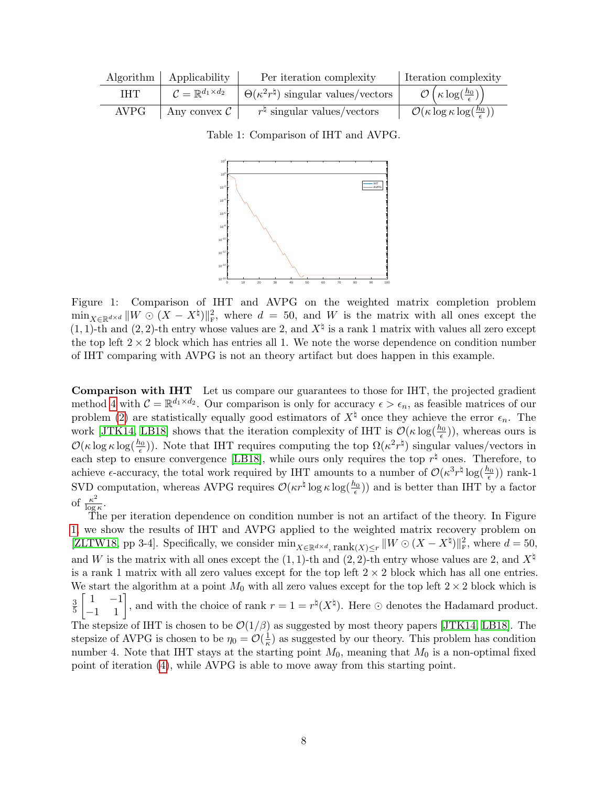<span id="page-7-1"></span>

|             | Algorithm   Applicability | Per iteration complexity                                                                              | Iteration complexity                                         |
|-------------|---------------------------|-------------------------------------------------------------------------------------------------------|--------------------------------------------------------------|
| <b>THT</b>  |                           | $\mathcal{C} = \mathbb{R}^{d_1 \times d_2}$   $\Theta(\kappa^2 r^{\natural})$ singular values/vectors | $\mathcal{O}\left(\kappa \log(\frac{h_0}{\epsilon})\right)$  |
| <b>AVPG</b> | Any convex $\mathcal{C}$  | $r^{\natural}$ singular values/vectors                                                                | $\mathcal{O}(\kappa \log \kappa \log(\frac{h_0}{\epsilon}))$ |

Table 1: Comparison of IHT and AVPG.



Figure 1: Comparison of IHT and AVPG on the weighted matrix completion problem  $\min_{X \in \mathbb{R}^{d \times d}} ||W \odot (X - X^{\natural})||_{\text{F}}^2$ , where  $d = 50$ , and W is the matrix with all ones except the  $(1, 1)$ -th and  $(2, 2)$ -th entry whose values are 2, and  $X^{\dagger}$  is a rank 1 matrix with values all zero except the top left  $2 \times 2$  block which has entries all 1. We note the worse dependence on condition number of IHT comparing with AVPG is not an theory artifact but does happen in this example.

Comparison with IHT Let us compare our guarantees to those for IHT, the projected gradient method [4](#page-1-1) with  $\mathcal{C} = \mathbb{R}^{d_1 \times d_2}$ . Our comparison is only for accuracy  $\epsilon > \epsilon_n$ , as feasible matrices of our problem [\(2\)](#page-1-0) are statistically equally good estimators of  $X^\natural$  once they achieve the error  $\epsilon_n$ . The work [\[JTK14,](#page-16-3) [LB18\]](#page-16-5) shows that the iteration complexity of IHT is  $\mathcal{O}(\kappa \log(\frac{h_0}{\epsilon}))$ , whereas ours is  $\mathcal{O}(\kappa \log \kappa \log(\frac{h_0}{\epsilon}))$ . Note that IHT requires computing the top  $\Omega(\kappa^2 r^{\natural})$  singular values/vectors in each step to ensure convergence [\[LB18\]](#page-16-5), while ours only requires the top  $r^{\natural}$  ones. Therefore, to achieve  $\epsilon$ -accuracy, the total work required by IHT amounts to a number of  $\mathcal{O}(\kappa^3 r^{\natural} \log(\frac{h_0}{\epsilon}))$  rank-1 SVD computation, whereas AVPG requires  $\mathcal{O}(\kappa r^{\natural} \log \kappa \log(\frac{h_0}{\epsilon}))$  and is better than IHT by a factor of  $\frac{\kappa^2}{\log n}$  $\frac{\kappa^2}{\log \kappa}.$ 

<span id="page-7-0"></span>The per iteration dependence on condition number is not an artifact of the theory. In Figure [1,](#page-7-1) we show the results of IHT and AVPG applied to the weighted matrix recovery problem on [\[ZLTW18,](#page-17-6) pp 3-4]. Specifically, we consider  $\min_{X \in \mathbb{R}^{d \times d}} \text{rank}(X) \leq r ||W \odot (X - X^{\natural})||_{\text{F}}^2$ , where  $d = 50$ , and W is the matrix with all ones except the  $(1, 1)$ -th and  $(2, 2)$ -th entry whose values are 2, and  $X^\natural$ is a rank 1 matrix with all zero values except for the top left  $2 \times 2$  block which has all one entries. We start the algorithm at a point  $M_0$  with all zero values except for the top left  $2 \times 2$  block which is 3 5  $\begin{bmatrix} 1 & -1 \\ -1 & 1 \end{bmatrix}$ , and with the choice of rank  $r = 1 = r^{\natural}(X^{\natural})$ . Here  $\odot$  denotes the Hadamard product. The stepsize of IHT is chosen to be  $\mathcal{O}(1/\beta)$  as suggested by most theory papers [\[JTK14,](#page-16-3) [LB18\]](#page-16-5). The stepsize of AVPG is chosen to be  $\eta_0 = \mathcal{O}(\frac{1}{\kappa})$  $\frac{1}{\kappa}$ ) as suggested by our theory. This problem has condition number 4. Note that IHT stays at the starting point  $M_0$ , meaning that  $M_0$  is a non-optimal fixed point of iteration [\(4\)](#page-1-1), while AVPG is able to move away from this starting point.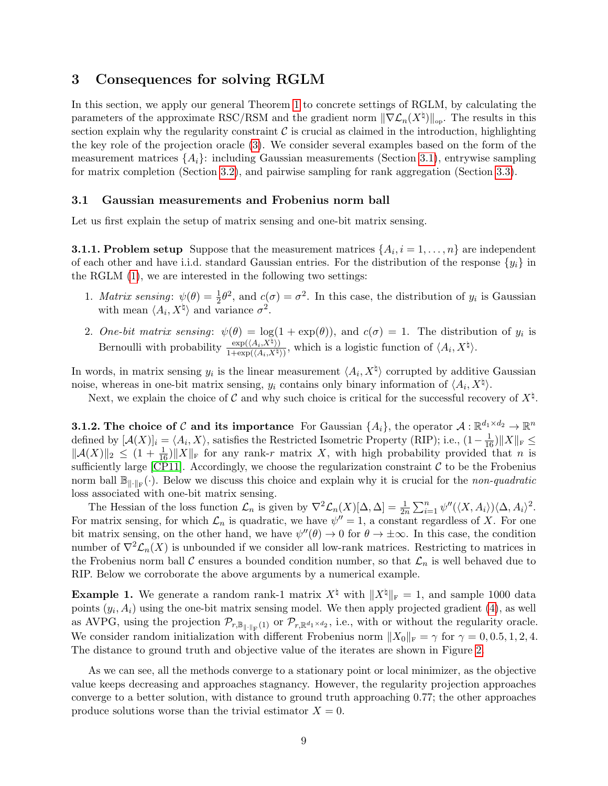### 3 Consequences for solving RGLM

In this section, we apply our general Theorem [1](#page-6-1) to concrete settings of RGLM, by calculating the parameters of the approximate RSC/RSM and the gradient norm  $\|\nabla \mathcal{L}_n(X^{\natural})\|_{op}$ . The results in this section explain why the regularity constraint  $\mathcal C$  is crucial as claimed in the introduction, highlighting the key role of the projection oracle [\(3\)](#page-1-2). We consider several examples based on the form of the measurement matrices  $\{A_i\}$ : including Gaussian measurements (Section [3.1\)](#page-8-0), entrywise sampling for matrix completion (Section [3.2\)](#page-10-0), and pairwise sampling for rank aggregation (Section [3.3\)](#page-13-1).

#### <span id="page-8-0"></span>3.1 Gaussian measurements and Frobenius norm ball

Let us first explain the setup of matrix sensing and one-bit matrix sensing.

**3.1.1. Problem setup** Suppose that the measurement matrices  $\{A_i, i = 1, \ldots, n\}$  are independent of each other and have i.i.d. standard Gaussian entries. For the distribution of the response  $\{y_i\}$  in the RGLM [\(1\)](#page-0-0), we are interested in the following two settings:

- 1. *Matrix sensing*:  $\psi(\theta) = \frac{1}{2}\theta^2$ , and  $c(\sigma) = \sigma^2$ . In this case, the distribution of  $y_i$  is Gaussian with mean  $\langle A_i, X^{\dagger} \rangle$  and variance  $\sigma^2$ .
- 2. One-bit matrix sensing:  $\psi(\theta) = \log(1 + \exp(\theta))$ , and  $c(\sigma) = 1$ . The distribution of  $y_i$  is Bernoulli with probability  $\frac{\exp((A_i, X^{\natural}))}{1+\exp((A_i, Y^{\natural}))}$  $\frac{\exp(\langle A_i, X^{\sharp} \rangle)}{1 + \exp(\langle A_i, X^{\sharp} \rangle)},$  which is a logistic function of  $\langle A_i, X^{\sharp} \rangle.$

In words, in matrix sensing  $y_i$  is the linear measurement  $\langle A_i, X^{\natural} \rangle$  corrupted by additive Gaussian noise, whereas in one-bit matrix sensing,  $y_i$  contains only binary information of  $\langle A_i, X^{\natural} \rangle$ .

Next, we explain the choice of C and why such choice is critical for the successful recovery of  $X^{\natural}$ .

**3.1.2.** The choice of C and its importance For Gaussian  $\{A_i\}$ , the operator  $\mathcal{A}: \mathbb{R}^{d_1 \times d_2} \to \mathbb{R}^n$ defined by  $[\mathcal{A}(X)]_i = \langle A_i, X \rangle$ , satisfies the Restricted Isometric Property (RIP); i.e.,  $(1 - \frac{1}{16}) ||X||_F \le$  $||\mathcal{A}(X)||_2 \leq (1 + \frac{1}{16}) ||X||_F$  for any rank-r matrix X, with high probability provided that n is sufficiently large  $[CP11]$ . Accordingly, we choose the regularization constraint  $\mathcal C$  to be the Frobenius norm ball  $\mathbb{B}_{\|\cdot\|_F}(\cdot)$ . Below we discuss this choice and explain why it is crucial for the non-quadratic loss associated with one-bit matrix sensing.

The Hessian of the loss function  $\mathcal{L}_n$  is given by  $\nabla^2 \mathcal{L}_n(X)[\Delta, \Delta] = \frac{1}{2n} \sum_{i=1}^n \psi''(\langle X, A_i \rangle) \langle \Delta, A_i \rangle^2$ . For matrix sensing, for which  $\mathcal{L}_n$  is quadratic, we have  $\psi'' = 1$ , a constant regardless of X. For one bit matrix sensing, on the other hand, we have  $\psi''(\theta) \to 0$  for  $\theta \to \pm \infty$ . In this case, the condition number of  $\nabla^2 \mathcal{L}_n(X)$  is unbounded if we consider all low-rank matrices. Restricting to matrices in the Frobenius norm ball C ensures a bounded condition number, so that  $\mathcal{L}_n$  is well behaved due to RIP. Below we corroborate the above arguments by a numerical example.

<span id="page-8-1"></span>**Example 1.** We generate a random rank-1 matrix  $X^{\dagger}$  with  $||X^{\dagger}||_F = 1$ , and sample 1000 data points  $(y_i, A_i)$  using the one-bit matrix sensing model. We then apply projected gradient  $(4)$ , as well as AVPG, using the projection  $\mathcal{P}_{r,\mathbb{B}_{\|\cdot\|_F}(1)}$  or  $\mathcal{P}_{r,\mathbb{R}^{d_1\times d_2}}$ , i.e., with or without the regularity oracle. We consider random initialization with different Frobenius norm  $||X_0||_F = \gamma$  for  $\gamma = 0, 0.5, 1, 2, 4$ . The distance to ground truth and objective value of the iterates are shown in Figure [2.](#page-9-0)

As we can see, all the methods converge to a stationary point or local minimizer, as the objective value keeps decreasing and approaches stagnancy. However, the regularity projection approaches converge to a better solution, with distance to ground truth approaching 0.77; the other approaches produce solutions worse than the trivial estimator  $X = 0$ .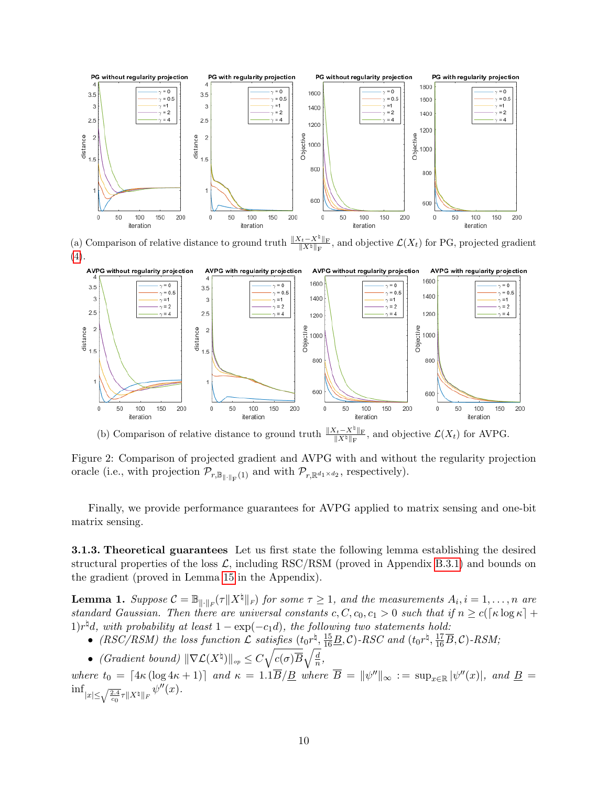<span id="page-9-0"></span>

(a) Comparison of relative distance to ground truth  $\frac{\|X_t - X^{\sharp}\|_{\mathrm{F}}}{\|X^{\sharp}\|_{\mathrm{F}}}$ , and objective  $\mathcal{L}(X_t)$  for PG, projected gradient [\(4\)](#page-1-1).



(b) Comparison of relative distance to ground truth  $\frac{\|X_t - X^\natural\|_{\mathrm{F}}}{\|X^\natural\|_{\mathrm{F}}}$ , and objective  $\mathcal{L}(X_t)$  for AVPG.

Figure 2: Comparison of projected gradient and AVPG with and without the regularity projection oracle (i.e., with projection  $\mathcal{P}_{r,\mathbb{B}_{\|\cdot\|_{\mathrm{F}}}(1)}$  and with  $\mathcal{P}_{r,\mathbb{R}^{d_1\times d_2}}$ , respectively).

Finally, we provide performance guarantees for AVPG applied to matrix sensing and one-bit matrix sensing.

3.1.3. Theoretical guarantees Let us first state the following lemma establishing the desired structural properties of the loss  $\mathcal{L}$ , including RSC/RSM (proved in Appendix [B.3.1\)](#page-25-0) and bounds on the gradient (proved in Lemma [15](#page-25-1) in the Appendix).

<span id="page-9-1"></span>**Lemma 1.** Suppose  $\mathcal{C} = \mathbb{B}_{\|\cdot\|_F}(\tau \|X^{\natural}\|_F)$  for some  $\tau \geq 1$ , and the measurements  $A_i, i = 1, \ldots, n$  are standard Gaussian. Then there are universal constants c,  $C, c_0, c_1 > 0$  such that if  $n \ge c(\lceil \kappa \log \kappa \rceil + \lceil \kappa \rceil + \lceil \kappa \log \kappa \rceil + \lceil \kappa \log \kappa \rceil + \lceil \kappa \log \kappa \rceil + \lceil \kappa \log \kappa \rceil + \lceil \kappa \log \kappa \rceil + \lceil \kappa \log \kappa \rceil + \lceil \kappa \log \kappa \rceil + \$  $1)r^{\natural}d$ , with probability at least  $1 - \exp(-c_1d)$ , the following two statements hold:

- (RSC/RSM) the loss function  $\mathcal{L}$  satisfies  $(t_0 r^{\natural}, \frac{15}{16}B, C)$ -RSC and  $(t_0 r^{\natural}, \frac{17}{16}\overline{B}, C)$ -RSM;
- (Gradient bound)  $\|\nabla \mathcal{L}(X^{\dagger})\|_{op} \leq C \sqrt{c(\sigma)B} \sqrt{\frac{d}{n}}$  $\frac{d}{n}$ ,

where  $t_0 = [4\kappa (\log 4\kappa + 1)]$  and  $\kappa = 1.1\overline{B}/\underline{B}$  where  $\overline{B} = ||\psi''||_{\infty} := \sup_{x \in \mathbb{R}} |\psi''(x)|$ , and  $\underline{B} =$  $\inf_{|x|\leq \sqrt{\frac{2.4}{c_0}}\tau \|X^\natural\|_F} \psi''(x).$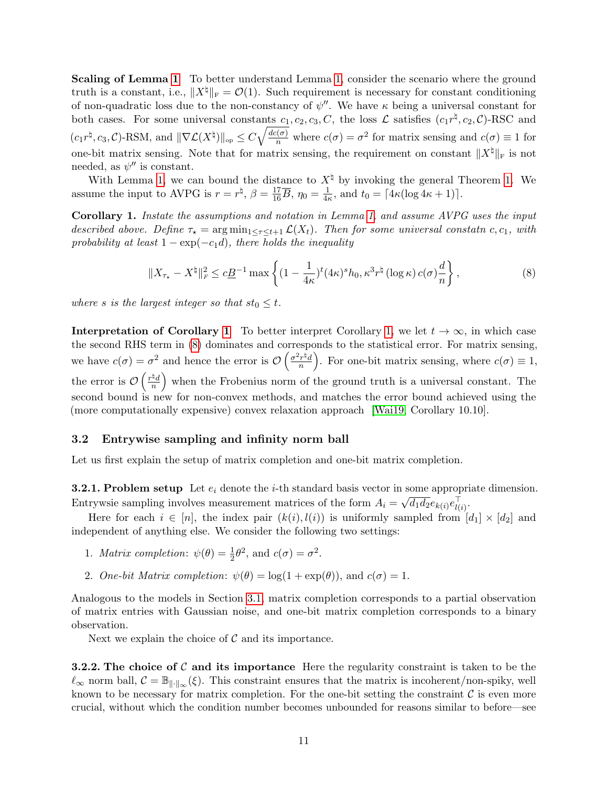Scaling of Lemma [1](#page-9-1) To better understand Lemma [1,](#page-9-1) consider the scenario where the ground truth is a constant, i.e.,  $||X^{\dagger}||_F = \mathcal{O}(1)$ . Such requirement is necessary for constant conditioning of non-quadratic loss due to the non-constancy of  $\psi''$ . We have  $\kappa$  being a universal constant for both cases. For some universal constants  $c_1, c_2, c_3, C$ , the loss  $\mathcal L$  satisfies  $(c_1 r^{\natural}, c_2, C)$ -RSC and  $(c_1 r^{\natural}, c_3, \mathcal{C})$ -RSM, and  $\|\nabla \mathcal{L}(X^{\natural})\|_{op} \leq C \sqrt{\frac{dc(\sigma)}{n}}$  where  $c(\sigma) = \sigma^2$  for matrix sensing and  $c(\sigma) \equiv 1$  for one-bit matrix sensing. Note that for matrix sensing, the requirement on constant  $\|X^\sharp\|_{\mathrm{F}}$  is not needed, as  $\psi''$  is constant.

With Lemma [1,](#page-9-1) we can bound the distance to  $X^{\natural}$  by invoking the general Theorem [1.](#page-6-1) We assume the input to AVPG is  $r = r^{\natural}$ ,  $\beta = \frac{17}{16}\overline{B}$ ,  $\eta_0 = \frac{1}{4}$ ,  $\frac{1}{4\kappa}$ , and  $t_0 = \lceil 4\kappa (\log 4\kappa + 1) \rceil$ .

<span id="page-10-1"></span>Corollary 1. Instate the assumptions and notation in Lemma [1,](#page-9-1) and assume AVPG uses the input described above. Define  $\tau_{\star} = \arg \min_{1 \leq \tau \leq t+1} \mathcal{L}(X_t)$ . Then for some universal constatn c, c<sub>1</sub>, with probability at least  $1 - \exp(-c_1 d)$ , there holds the inequality

<span id="page-10-2"></span>
$$
||X_{\tau_{\star}} - X^{\natural}||_F^2 \le c\underline{B}^{-1} \max \left\{ (1 - \frac{1}{4\kappa})^t (4\kappa)^s h_0, \kappa^3 r^{\natural} (\log \kappa) c(\sigma) \frac{d}{n} \right\},\tag{8}
$$

where s is the largest integer so that  $st_0 \leq t$ .

**Interpretation of Corollary [1](#page-10-1)** To better interpret Corollary [1,](#page-10-1) we let  $t \to \infty$ , in which case the second RHS term in [\(8\)](#page-10-2) dominates and corresponds to the statistical error. For matrix sensing, we have  $c(\sigma) = \sigma^2$  and hence the error is  $\mathcal{O}\left(\frac{\sigma^2 r^{\frac{1}{2}}}{n}\right)$  $\left(\frac{r^{\frac{1}{n}}}{n}\right)$ . For one-bit matrix sensing, where  $c(\sigma) \equiv 1$ , the error is  $\mathcal{O}\left(\frac{r^{\natural}d}{n}\right)$  $\left(\frac{\hbar d}{n}\right)$  when the Frobenius norm of the ground truth is a universal constant. The second bound is new for non-convex methods, and matches the error bound achieved using the (more computationally expensive) convex relaxation approach [\[Wai19,](#page-17-3) Corollary 10.10].

#### <span id="page-10-0"></span>3.2 Entrywise sampling and infinity norm ball

Let us first explain the setup of matrix completion and one-bit matrix completion.

**3.2.1. Problem setup** Let  $e_i$  denote the *i*-th standard basis vector in some appropriate dimension. Entrywsie sampling involves measurement matrices of the form  $A_i =$ ⊂ا<br>⁄  $\overline{d_1d_2}e_{k(i)}e_{l(i)}^\top.$ 

Here for each  $i \in [n]$ , the index pair  $(k(i), l(i))$  is uniformly sampled from  $[d_1] \times [d_2]$  and independent of anything else. We consider the following two settings:

- 1. Matrix completion:  $\psi(\theta) = \frac{1}{2}\theta^2$ , and  $c(\sigma) = \sigma^2$ .
- 2. One-bit Matrix completion:  $\psi(\theta) = \log(1 + \exp(\theta))$ , and  $c(\sigma) = 1$ .

Analogous to the models in Section [3.1,](#page-8-0) matrix completion corresponds to a partial observation of matrix entries with Gaussian noise, and one-bit matrix completion corresponds to a binary observation.

Next we explain the choice of  $\mathcal C$  and its importance.

**3.2.2.** The choice of C and its importance Here the regularity constraint is taken to be the  $\ell_{\infty}$  norm ball,  $\mathcal{C} = \mathbb{B}_{\|\cdot\|_{\infty}}(\xi)$ . This constraint ensures that the matrix is incoherent/non-spiky, well known to be necessary for matrix completion. For the one-bit setting the constraint  $\mathcal C$  is even more crucial, without which the condition number becomes unbounded for reasons similar to before—see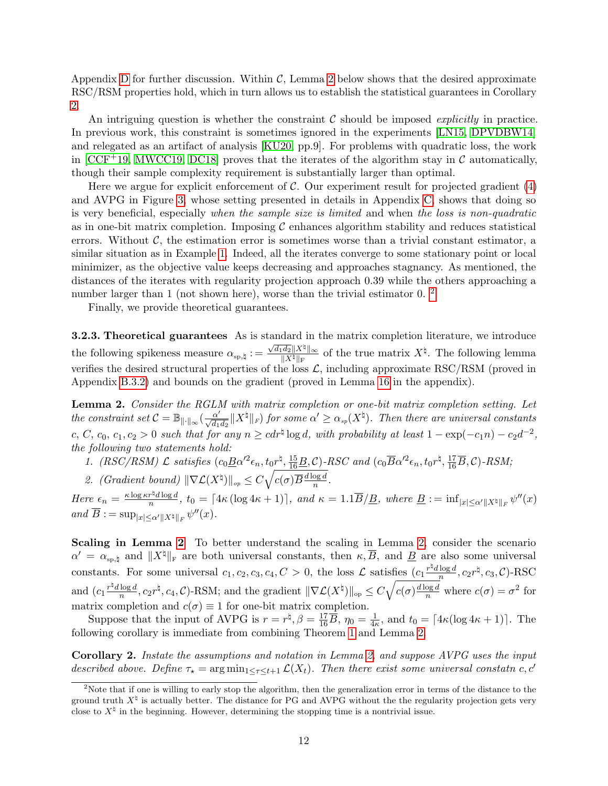Appendix [D](#page-28-0) for further discussion. Within  $\mathcal{C}$ , Lemma [2](#page-11-1) below shows that the desired approximate RSC/RSM properties hold, which in turn allows us to establish the statistical guarantees in Corollary [2.](#page-11-0)

An intriguing question is whether the constraint  $\mathcal C$  should be imposed *explicitly* in practice. In previous work, this constraint is sometimes ignored in the experiments [\[LN15,](#page-16-2) [DPVDBW14\]](#page-16-1) and relegated as an artifact of analysis [\[KU20,](#page-16-12) pp.9]. For problems with quadratic loss, the work in  $[CCF+19, MWCC19, DC18]$  $[CCF+19, MWCC19, DC18]$  $[CCF+19, MWCC19, DC18]$  $[CCF+19, MWCC19, DC18]$  $[CCF+19, MWCC19, DC18]$  proves that the iterates of the algorithm stay in C automatically, though their sample complexity requirement is substantially larger than optimal.

Here we argue for explicit enforcement of  $\mathcal C$ . Our experiment result for projected gradient [\(4\)](#page-1-1) and AVPG in Figure [3,](#page-12-1) whose setting presented in details in Appendix [C,](#page-27-0) shows that doing so is very beneficial, especially when the sample size is limited and when the loss is non-quadratic as in one-bit matrix completion. Imposing  $\mathcal C$  enhances algorithm stability and reduces statistical errors. Without  $\mathcal{C}$ , the estimation error is sometimes worse than a trivial constant estimator, a similar situation as in Example [1.](#page-8-1) Indeed, all the iterates converge to some stationary point or local minimizer, as the objective value keeps decreasing and approaches stagnancy. As mentioned, the distances of the iterates with regularity projection approach 0.39 while the others approaching a number larger than 1 (not shown here), worse than the trivial estimator 0. <sup>[2](#page-11-2)</sup>

Finally, we provide theoretical guarantees.

3.2.3. Theoretical guarantees As is standard in the matrix completion literature, we introduce the following spikeness measure  $\alpha_{sp,\natural} :=$  $\sqrt{d_1d_2}$   $\|X^\natural\|_\infty$  $\frac{d_2\|X^{\sharp}\|_{\infty}}{\|X^{\sharp}\|_{\mathrm{F}}}$  of the true matrix  $X^{\sharp}$ . The following lemma verifies the desired structural properties of the loss  $\mathcal{L}$ , including approximate RSC/RSM (proved in Appendix [B.3.2\)](#page-25-2) and bounds on the gradient (proved in Lemma [16](#page-26-0) in the appendix).

<span id="page-11-1"></span>Lemma 2. Consider the RGLM with matrix completion or one-bit matrix completion setting. Let the constraint set  $\mathcal{C} = \mathbb{B}_{\|\cdot\|_{\infty}}(\frac{\alpha'}{\sqrt{d_1d_2}}\|X^{\natural}\|_F)$  for some  $\alpha' \geq \alpha_{sp}(X^{\natural})$ . Then there are universal constants c, C, c<sub>0</sub>, c<sub>1</sub>, c<sub>2</sub> > 0 such that for any  $n \geq c dr^{\frac{1}{2}} \log d$ , with probability at least  $1 - \exp(-c_1 n) - c_2 d^{-2}$ , the following two statements hold:

- 1.  $(RSC/RSM) \mathcal{L}$  satisfies  $(c_0\underline{B}\alpha'^2\epsilon_n, t_0r^{\natural}, \frac{15}{16}\underline{B}, C)$ -RSC and  $(c_0\overline{B}\alpha'^2\epsilon_n, t_0r^{\natural}, \frac{17}{16}\overline{B}, C)$ -RSM;
- 2. (Gradient bound)  $\|\nabla \mathcal{L}(X^{\natural})\|_{op} \leq C \sqrt{c(\sigma) \overline{B} \frac{d \log d}{n}}$  $\frac{\log d}{n}$ .

Here  $\epsilon_n = \frac{\kappa \log \kappa r^{\frac{1}{2}} d \log d}{n}$  $\frac{d\pi^n d\log d}{n}$ ,  $t_0 = \lceil 4\kappa (\log 4\kappa + 1) \rceil$ , and  $\kappa = 1.1\overline{B}/\underline{B}$ , where  $\underline{B} := \inf_{|x| \le \alpha' ||X^\natural||_F} \psi''(x)$ and  $\overline{B} := \sup_{|x| \le \alpha' ||X^{\natural}||_F} \psi''(x)$ .

Scaling in Lemma [2](#page-11-1) To better understand the scaling in Lemma [2,](#page-11-1) consider the scenario  $\alpha' = \alpha_{\rm sp, \natural}$  and  $||X^{\natural}||_{\rm F}$  are both universal constants, then  $\kappa, \overline{B}$ , and  $\underline{B}$  are also some universal constants. For some universal  $c_1, c_2, c_3, c_4, C > 0$ , the loss  $\mathcal L$  satisfies  $(c_1 \frac{r^{\frac{1}{2}} d \log d}{n})$  $\frac{\log d}{n}, c_2 r^\natural, c_3, \mathcal{C}$ )-RSC and  $\left(c_1 \frac{r \not\downarrow d \log d}{n}\right)$  $\frac{\log d}{n}$ ,  $c_2r^{\natural}$ ,  $c_4$ ,  $\mathcal{C}$ )-RSM; and the gradient  $\|\nabla \mathcal{L}(X^{\natural})\|_{op} \leq C\sqrt{c(\sigma)\frac{d\log d}{n}}$  where  $c(\sigma) = \sigma^2$  for matrix completion and  $c(\sigma) \equiv 1$  for one-bit matrix completion.

Suppose that the input of AVPG is  $r = r^{\natural}, \beta = \frac{17}{16}\overline{B}, \eta_0 = \frac{1}{4r}$  $\frac{1}{4\kappa}$ , and  $t_0 = \lceil 4\kappa (\log 4\kappa + 1) \rceil$ . The following corollary is immediate from combining Theorem [1](#page-6-1) and Lemma [2.](#page-11-1)

<span id="page-11-0"></span>Corollary 2. Instate the assumptions and notation in Lemma [2,](#page-11-1) and suppose AVPG uses the input described above. Define  $\tau_{\star} = \arg \min_{1 \leq \tau \leq t+1} \mathcal{L}(X_t)$ . Then there exist some universal constatn c, c'

<span id="page-11-2"></span><sup>&</sup>lt;sup>2</sup>Note that if one is willing to early stop the algorithm, then the generalization error in terms of the distance to the ground truth  $X^{\natural}$  is actually better. The distance for PG and AVPG without the the regularity projection gets very close to  $X^{\natural}$  in the beginning. However, determining the stopping time is a nontrivial issue.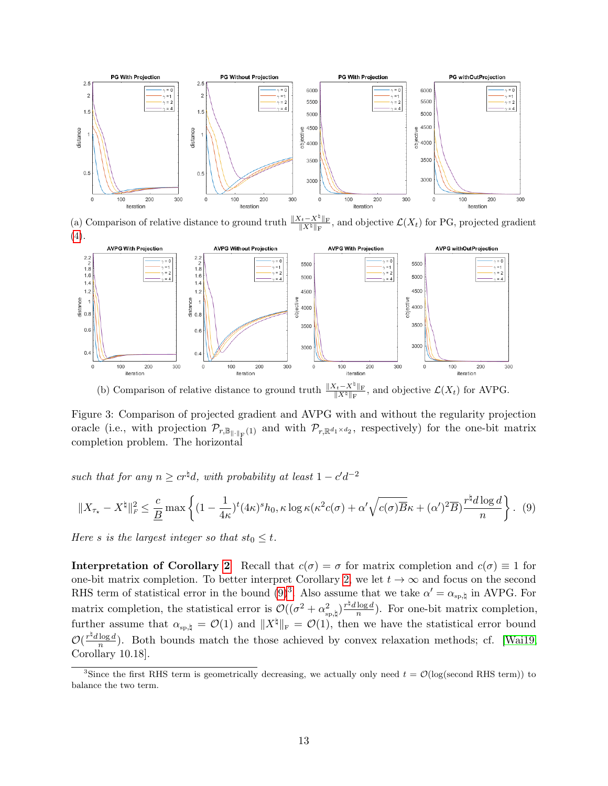<span id="page-12-1"></span>

(a) Comparison of relative distance to ground truth  $\frac{\|X_t - X^{\sharp}\|_{\mathrm{F}}}{\|X^{\sharp}\|_{\mathrm{F}}}$ , and objective  $\mathcal{L}(X_t)$  for PG, projected gradient [\(4\)](#page-1-1).



<span id="page-12-2"></span>(b) Comparison of relative distance to ground truth  $\frac{\|X_t - X^\natural\|_{\mathrm{F}}}{\|X^\natural\|_{\mathrm{F}}}$ , and objective  $\mathcal{L}(X_t)$  for AVPG.

Figure 3: Comparison of projected gradient and AVPG with and without the regularity projection oracle (i.e., with projection  $\mathcal{P}_{r,\mathbb{B}_{\|\cdot\|_F}(1)}$  and with  $\mathcal{P}_{r,\mathbb{R}^{d_1\times d_2}}$ , respectively) for the one-bit matrix completion problem. The horizontal

such that for any  $n \geq c r^{\frac{1}{2}} d$ , with probability at least  $1 - c' d^{-2}$ 

$$
||X_{\tau_{\star}} - X^{\natural}||_F^2 \le \frac{c}{\underline{B}} \max \left\{ (1 - \frac{1}{4\kappa})^t (4\kappa)^s h_0, \kappa \log \kappa (\kappa^2 c(\sigma) + \alpha' \sqrt{c(\sigma)B} \kappa + (\alpha')^2 \overline{B}) \frac{r^{\natural} d \log d}{n} \right\}. (9)
$$

Here s is the largest integer so that  $st_0 \leq t$ .

Interpretation of Corollary [2](#page-11-0) Recall that  $c(\sigma) = \sigma$  for matrix completion and  $c(\sigma) \equiv 1$  for one-bit matrix completion. To better interpret Corollary [2,](#page-11-0) we let  $t \to \infty$  and focus on the second RHS term of statistical error in the bound  $(9)^3$  $(9)^3$  $(9)^3$ . Also assume that we take  $\alpha' = \alpha_{sp,\natural}$  in AVPG. For matrix completion, the statistical error is  $\mathcal{O}((\sigma^2 + \alpha_{\text{sp},\natural}^2)^{\frac{r}{r}d \log d})$  $\frac{\log d}{n}$ ). For one-bit matrix completion, further assume that  $\alpha_{sp,\natural} = \mathcal{O}(1)$  and  $||X^\natural||_F = \mathcal{O}(1)$ , then we have the statistical error bound  $\mathcal{O}(\frac{r^{\natural}d\log d}{n})$  $\frac{\log d}{n}$ ). Both bounds match the those achieved by convex relaxation methods; cf. [\[Wai19,](#page-17-3) Corollary 10.18].

<span id="page-12-3"></span><span id="page-12-0"></span><sup>&</sup>lt;sup>3</sup>Since the first RHS term is geometrically decreasing, we actually only need  $t = \mathcal{O}(\log(\text{second RHS term}))$  to balance the two term.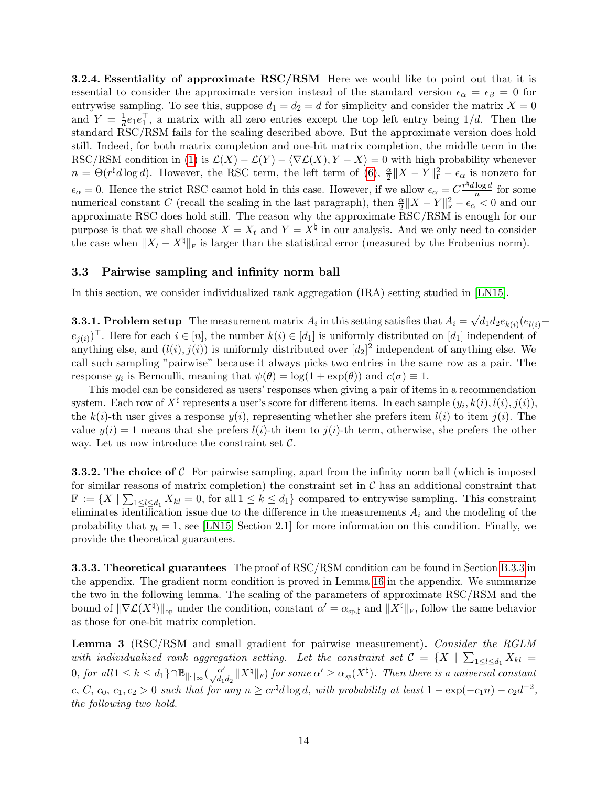**3.2.4. Essentiality of approximate RSC/RSM** Here we would like to point out that it is essential to consider the approximate version instead of the standard version  $\epsilon_{\alpha} = \epsilon_{\beta} = 0$  for entrywise sampling. To see this, suppose  $d_1 = d_2 = d$  for simplicity and consider the matrix  $X = 0$ and  $Y = \frac{1}{d}$  $\frac{1}{d}e_1e_1^{\top}$ , a matrix with all zero entries except the top left entry being  $1/d$ . Then the standard RSC/RSM fails for the scaling described above. But the approximate version does hold still. Indeed, for both matrix completion and one-bit matrix completion, the middle term in the RSC/RSM condition in [\(1\)](#page-6-0) is  $\mathcal{L}(X) - \mathcal{L}(Y) - \langle \nabla \mathcal{L}(X), Y - X \rangle = 0$  with high probability whenever  $n = \Theta(r^{\natural}d\log d)$ . However, the RSC term, the left term of [\(6\)](#page-6-3),  $\frac{\alpha}{2}$  $\frac{\alpha}{2} \|X - Y\|_{\mathrm{F}}^2 - \epsilon_{\alpha}$  is nonzero for  $\epsilon_{\alpha} = 0$ . Hence the strict RSC cannot hold in this case. However, if we allow  $\epsilon_{\alpha} = C \frac{r^{\frac{1}{2}} d \log d}{n}$  $\frac{\log a}{n}$  for some numerical constant C (recall the scaling in the last paragraph), then  $\frac{\alpha}{2}||X - Y||_F^2 - \epsilon_0 \leq 0$  and our approximate RSC does hold still. The reason why the approximate RSC/RSM is enough for our purpose is that we shall choose  $X = X_t$  and  $Y = X^{\dagger}$  in our analysis. And we only need to consider the case when  $||X_t - X^{\natural}||_F$  is larger than the statistical error (measured by the Frobenius norm).

#### <span id="page-13-1"></span>3.3 Pairwise sampling and infinity norm ball

In this section, we consider individualized rank aggregation (IRA) setting studied in [\[LN15\]](#page-16-2).

**3.3.1. Problem setup** The measurement matrix  $A_i$  in this setting satisfies that  $A_i =$ √  $\overline{d_{1}d_{2}}e_{k(i)}(e_{l(i)} (e_{j(i)})^{\top}$ . Here for each  $i \in [n]$ , the number  $k(i) \in [d_1]$  is uniformly distributed on  $[d_1]$  independent of anything else, and  $(l(i), j(i))$  is uniformly distributed over  $[d_2]^2$  independent of anything else. We call such sampling "pairwise" because it always picks two entries in the same row as a pair. The response  $y_i$  is Bernoulli, meaning that  $\psi(\theta) = \log(1 + \exp(\theta))$  and  $c(\sigma) \equiv 1$ .

This model can be considered as users' responses when giving a pair of items in a recommendation system. Each row of  $X^{\dagger}$  represents a user's score for different items. In each sample  $(y_i, k(i), l(i), j(i)),$ the  $k(i)$ -th user gives a response  $y(i)$ , representing whether she prefers item  $l(i)$  to item  $j(i)$ . The value  $y(i) = 1$  means that she prefers  $l(i)$ -th item to  $j(i)$ -th term, otherwise, she prefers the other way. Let us now introduce the constraint set  $\mathcal{C}$ .

**3.3.2.** The choice of C For pairwise sampling, apart from the infinity norm ball (which is imposed for similar reasons of matrix completion) the constraint set in  $\mathcal C$  has an additional constraint that  $\mathbb{F} := \{X \mid \sum_{1 \leq l \leq d_1} X_{kl} = 0$ , for all  $1 \leq k \leq d_1\}$  compared to entrywise sampling. This constraint eliminates identification issue due to the difference in the measurements  $A_i$  and the modeling of the probability that  $y_i = 1$ , see [\[LN15,](#page-16-2) Section 2.1] for more information on this condition. Finally, we provide the theoretical guarantees.

**3.3.3. Theoretical guarantees** The proof of RSC/RSM condition can be found in Section [B.3.3](#page-25-3) in the appendix. The gradient norm condition is proved in Lemma [16](#page-26-0) in the appendix. We summarize the two in the following lemma. The scaling of the parameters of approximate RSC/RSM and the bound of  $\|\nabla \mathcal{L}(X^{\natural})\|_{\text{op}}$  under the condition, constant  $\alpha' = \alpha_{\text{sp},\natural}$  and  $\|X^{\natural}\|_{\text{F}}$ , follow the same behavior as those for one-bit matrix completion.

<span id="page-13-0"></span>Lemma 3 (RSC/RSM and small gradient for pairwise measurement). Consider the RGLM with individualized rank aggregation setting. Let the constraint set  $C = \{X \mid \sum_{1 \leq l \leq d_1} X_{kl} =$  $0,$  for all  $1 \leq k \leq d_1$ } $\cap \mathbb{B}_{\|\cdot\|_{\infty}}(\frac{\alpha'}{\sqrt{d_1d_2}}\|X^{\natural}\|_{F})$  for some  $\alpha' \geq \alpha_{sp}(X^{\natural})$ . Then there is a universal constant c, C, c<sub>0</sub>, c<sub>1</sub>, c<sub>2</sub> > 0 such that for any  $n \geq c r^{\frac{1}{4}} d \log d$ , with probability at least  $1 - \exp(-c_1 n) - c_2 d^{-2}$ , the following two hold.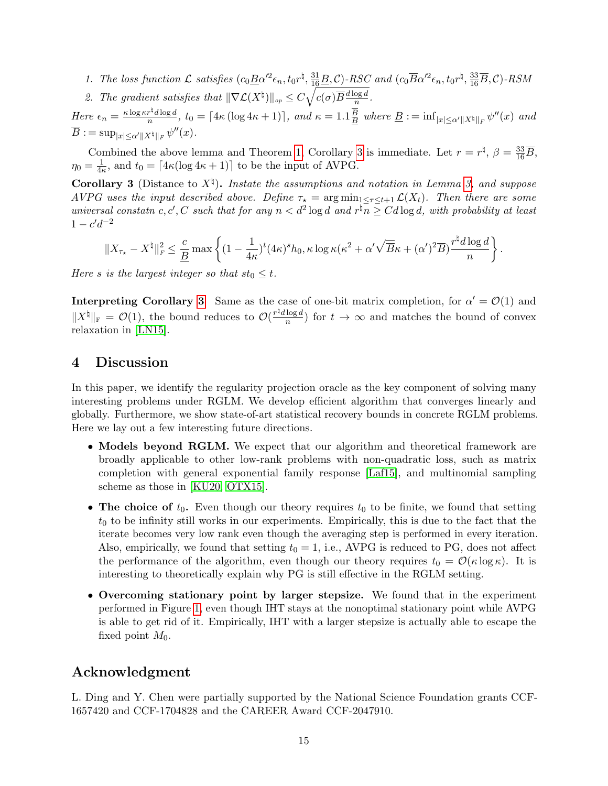- 1. The loss function  $\mathcal L$  satisfies  $(c_0\underline{B}\alpha'^2\epsilon_n, t_0r^\natural, \frac{31}{16}\underline{B}, \mathcal{C})$ -RSC and  $(c_0\overline{B}\alpha'^2\epsilon_n, t_0r^\natural, \frac{33}{16}\overline{B}, \mathcal{C})$ -RSM
- 2. The gradient satisfies that  $\|\nabla \mathcal{L}(X^{\natural})\|_{op} \leq C \sqrt{c(\sigma) \overline{B} \frac{d \log d}{n}}$  $\frac{\log a}{n}$  .

Here  $\epsilon_n = \frac{\kappa \log \kappa r^{\frac{1}{2}} d \log d}{n}$  $\frac{r^4d\log d}{n}$ ,  $t_0 = \lceil 4\kappa (\log 4\kappa + 1) \rceil$ , and  $\kappa = 1.1 \frac{B}{B}$  $\frac{B}{B}$  where  $\underline{B} := \inf_{|x| \le \alpha' ||X^{\natural}||_F} \psi''(x)$  and  $\overline{B} := \sup_{|x| \le \alpha' ||X^{\natural}||_F} \psi''(x).$ 

Combined the above lemma and Theorem [1,](#page-6-1) Corollary [3](#page-14-1) is immediate. Let  $r = r^{\frac{1}{4}}, \beta = \frac{33}{16}\overline{B}$ ,  $\eta_0 = \frac{1}{4\epsilon}$  $\frac{1}{4\kappa}$ , and  $t_0 = \lfloor 4\kappa (\log 4\kappa + 1) \rfloor$  to be the input of AVPG.

<span id="page-14-1"></span>**Corollary 3** (Distance to  $X^{\natural}$ ). Instate the assumptions and notation in Lemma [3,](#page-13-0) and suppose AVPG uses the input described above. Define  $\tau_{\star} = \arg \min_{1 \leq \tau \leq t+1} \mathcal{L}(X_t)$ . Then there are some universal constatn c, c', C such that for any  $n < d^2 \log d$  and  $r^{\sharp}n \geq C d \log d$ , with probability at least  $1 - c'd^{-2}$ 

$$
||X_{\tau_{\star}} - X^{\natural}||_F^2 \leq \frac{c}{\underline{B}} \max \left\{ (1 - \frac{1}{4\kappa})^t (4\kappa)^s h_0, \kappa \log \kappa (\kappa^2 + \alpha' \sqrt{\overline{B}} \kappa + (\alpha')^2 \overline{B}) \frac{r^{\natural} d \log d}{n} \right\}.
$$

Here s is the largest integer so that  $st_0 \leq t$ .

**Interpreting Corollary [3](#page-14-1)** Same as the case of one-bit matrix completion, for  $\alpha' = \mathcal{O}(1)$  and  $||X^{\natural}||_{\text{F}} = \mathcal{O}(1)$ , the bound reduces to  $\mathcal{O}(\frac{r^{\natural}d \log d}{n})$  $\frac{\log a}{n}$ ) for  $t \to \infty$  and matches the bound of convex relaxation in [\[LN15\]](#page-16-2).

### <span id="page-14-0"></span>4 Discussion

In this paper, we identify the regularity projection oracle as the key component of solving many interesting problems under RGLM. We develop efficient algorithm that converges linearly and globally. Furthermore, we show state-of-art statistical recovery bounds in concrete RGLM problems. Here we lay out a few interesting future directions.

- Models beyond RGLM. We expect that our algorithm and theoretical framework are broadly applicable to other low-rank problems with non-quadratic loss, such as matrix completion with general exponential family response [\[Laf15\]](#page-16-7), and multinomial sampling scheme as those in [\[KU20,](#page-16-12) [OTX15\]](#page-17-10).
- The choice of  $t_0$ . Even though our theory requires  $t_0$  to be finite, we found that setting  $t_0$  to be infinity still works in our experiments. Empirically, this is due to the fact that the iterate becomes very low rank even though the averaging step is performed in every iteration. Also, empirically, we found that setting  $t_0 = 1$ , i.e., AVPG is reduced to PG, does not affect the performance of the algorithm, even though our theory requires  $t_0 = \mathcal{O}(\kappa \log \kappa)$ . It is interesting to theoretically explain why PG is still effective in the RGLM setting.
- Overcoming stationary point by larger stepsize. We found that in the experiment performed in Figure [1,](#page-7-1) even though IHT stays at the nonoptimal stationary point while AVPG is able to get rid of it. Empirically, IHT with a larger stepsize is actually able to escape the fixed point  $M_0$ .

### Acknowledgment

L. Ding and Y. Chen were partially supported by the National Science Foundation grants CCF-1657420 and CCF-1704828 and the CAREER Award CCF-2047910.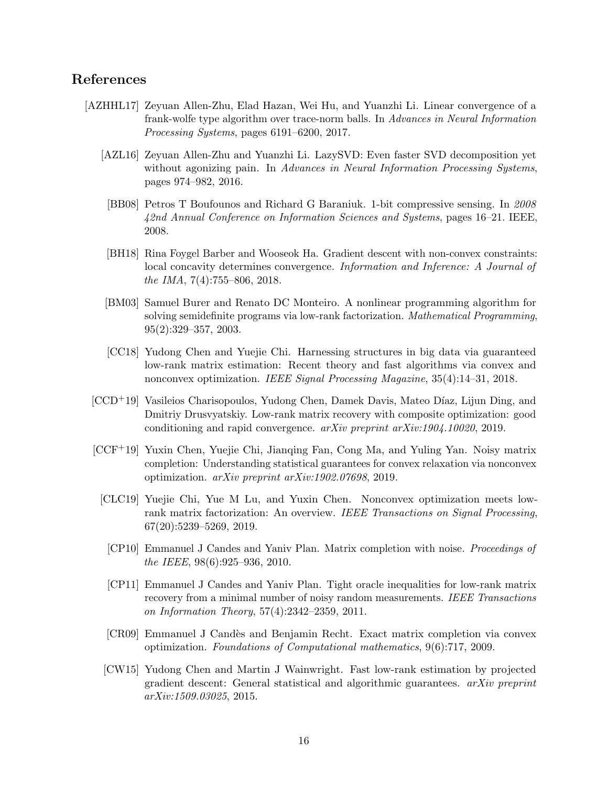### References

- <span id="page-15-12"></span><span id="page-15-11"></span><span id="page-15-10"></span><span id="page-15-9"></span><span id="page-15-8"></span><span id="page-15-7"></span><span id="page-15-6"></span><span id="page-15-5"></span><span id="page-15-4"></span><span id="page-15-3"></span><span id="page-15-2"></span><span id="page-15-1"></span><span id="page-15-0"></span>[AZHHL17] Zeyuan Allen-Zhu, Elad Hazan, Wei Hu, and Yuanzhi Li. Linear convergence of a frank-wolfe type algorithm over trace-norm balls. In Advances in Neural Information Processing Systems, pages 6191–6200, 2017.
	- [AZL16] Zeyuan Allen-Zhu and Yuanzhi Li. LazySVD: Even faster SVD decomposition yet without agonizing pain. In Advances in Neural Information Processing Systems, pages 974–982, 2016.
	- [BB08] Petros T Boufounos and Richard G Baraniuk. 1-bit compressive sensing. In 2008 42nd Annual Conference on Information Sciences and Systems, pages 16–21. IEEE, 2008.
	- [BH18] Rina Foygel Barber and Wooseok Ha. Gradient descent with non-convex constraints: local concavity determines convergence. Information and Inference: A Journal of the IMA, 7(4):755–806, 2018.
	- [BM03] Samuel Burer and Renato DC Monteiro. A nonlinear programming algorithm for solving semidefinite programs via low-rank factorization. Mathematical Programming, 95(2):329–357, 2003.
	- [CC18] Yudong Chen and Yuejie Chi. Harnessing structures in big data via guaranteed low-rank matrix estimation: Recent theory and fast algorithms via convex and nonconvex optimization. IEEE Signal Processing Magazine, 35(4):14–31, 2018.
	- [CCD+19] Vasileios Charisopoulos, Yudong Chen, Damek Davis, Mateo D´ıaz, Lijun Ding, and Dmitriy Drusvyatskiy. Low-rank matrix recovery with composite optimization: good conditioning and rapid convergence. arXiv preprint arXiv:1904.10020, 2019.
	- [CCF+19] Yuxin Chen, Yuejie Chi, Jianqing Fan, Cong Ma, and Yuling Yan. Noisy matrix completion: Understanding statistical guarantees for convex relaxation via nonconvex optimization. arXiv preprint arXiv:1902.07698, 2019.
		- [CLC19] Yuejie Chi, Yue M Lu, and Yuxin Chen. Nonconvex optimization meets lowrank matrix factorization: An overview. IEEE Transactions on Signal Processing, 67(20):5239–5269, 2019.
			- [CP10] Emmanuel J Candes and Yaniv Plan. Matrix completion with noise. Proceedings of the IEEE, 98(6):925–936, 2010.
			- [CP11] Emmanuel J Candes and Yaniv Plan. Tight oracle inequalities for low-rank matrix recovery from a minimal number of noisy random measurements. IEEE Transactions on Information Theory, 57(4):2342–2359, 2011.
			- [CR09] Emmanuel J Cand`es and Benjamin Recht. Exact matrix completion via convex optimization. Foundations of Computational mathematics, 9(6):717, 2009.
		- [CW15] Yudong Chen and Martin J Wainwright. Fast low-rank estimation by projected gradient descent: General statistical and algorithmic guarantees.  $arXiv$  preprint arXiv:1509.03025, 2015.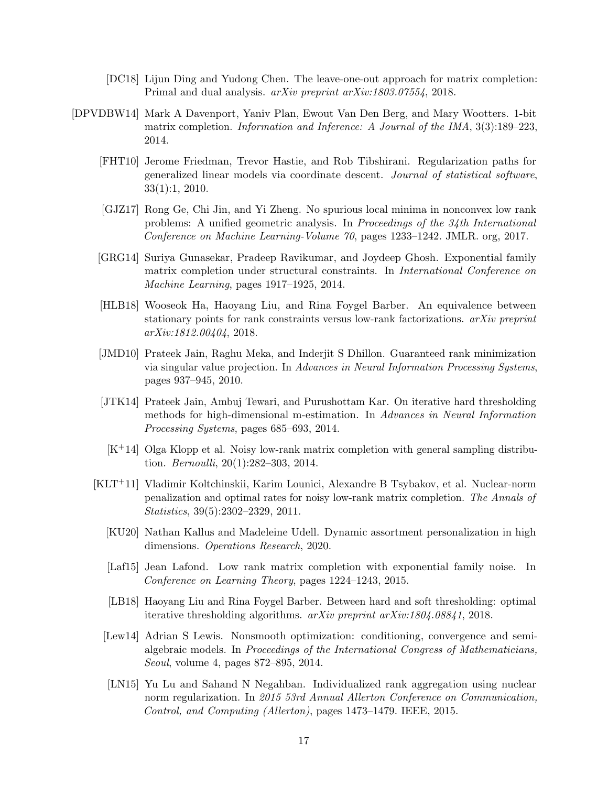- <span id="page-16-6"></span>[DC18] Lijun Ding and Yudong Chen. The leave-one-out approach for matrix completion: Primal and dual analysis. arXiv preprint arXiv:1803.07554, 2018.
- <span id="page-16-14"></span><span id="page-16-13"></span><span id="page-16-12"></span><span id="page-16-11"></span><span id="page-16-10"></span><span id="page-16-9"></span><span id="page-16-8"></span><span id="page-16-7"></span><span id="page-16-5"></span><span id="page-16-4"></span><span id="page-16-3"></span><span id="page-16-2"></span><span id="page-16-1"></span><span id="page-16-0"></span>[DPVDBW14] Mark A Davenport, Yaniv Plan, Ewout Van Den Berg, and Mary Wootters. 1-bit matrix completion. Information and Inference: A Journal of the IMA, 3(3):189–223, 2014.
	- [FHT10] Jerome Friedman, Trevor Hastie, and Rob Tibshirani. Regularization paths for generalized linear models via coordinate descent. Journal of statistical software, 33(1):1, 2010.
	- [GJZ17] Rong Ge, Chi Jin, and Yi Zheng. No spurious local minima in nonconvex low rank problems: A unified geometric analysis. In Proceedings of the 34th International Conference on Machine Learning-Volume 70, pages 1233–1242. JMLR. org, 2017.
	- [GRG14] Suriya Gunasekar, Pradeep Ravikumar, and Joydeep Ghosh. Exponential family matrix completion under structural constraints. In International Conference on Machine Learning, pages 1917–1925, 2014.
	- [HLB18] Wooseok Ha, Haoyang Liu, and Rina Foygel Barber. An equivalence between stationary points for rank constraints versus low-rank factorizations. arXiv preprint arXiv:1812.00404, 2018.
	- [JMD10] Prateek Jain, Raghu Meka, and Inderjit S Dhillon. Guaranteed rank minimization via singular value projection. In Advances in Neural Information Processing Systems, pages 937–945, 2010.
	- [JTK14] Prateek Jain, Ambuj Tewari, and Purushottam Kar. On iterative hard thresholding methods for high-dimensional m-estimation. In Advances in Neural Information Processing Systems, pages 685–693, 2014.
	- [K+14] Olga Klopp et al. Noisy low-rank matrix completion with general sampling distribution. Bernoulli, 20(1):282–303, 2014.
	- [KLT+11] Vladimir Koltchinskii, Karim Lounici, Alexandre B Tsybakov, et al. Nuclear-norm penalization and optimal rates for noisy low-rank matrix completion. The Annals of Statistics, 39(5):2302–2329, 2011.
		- [KU20] Nathan Kallus and Madeleine Udell. Dynamic assortment personalization in high dimensions. Operations Research, 2020.
		- [Laf15] Jean Lafond. Low rank matrix completion with exponential family noise. In Conference on Learning Theory, pages 1224–1243, 2015.
		- [LB18] Haoyang Liu and Rina Foygel Barber. Between hard and soft thresholding: optimal iterative thresholding algorithms. arXiv preprint arXiv:1804.08841, 2018.
		- [Lew14] Adrian S Lewis. Nonsmooth optimization: conditioning, convergence and semialgebraic models. In Proceedings of the International Congress of Mathematicians, Seoul, volume 4, pages 872–895, 2014.
		- [LN15] Yu Lu and Sahand N Negahban. Individualized rank aggregation using nuclear norm regularization. In 2015 53rd Annual Allerton Conference on Communication, Control, and Computing (Allerton), pages 1473–1479. IEEE, 2015.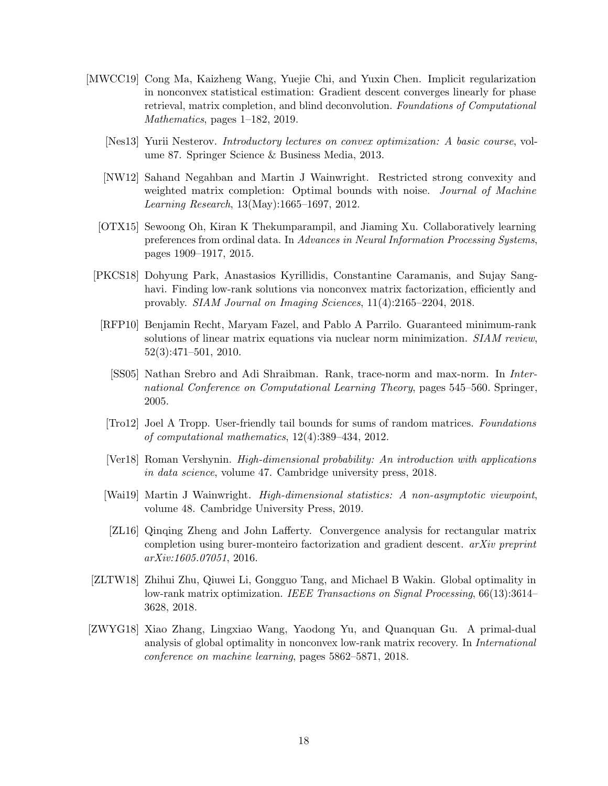- <span id="page-17-10"></span><span id="page-17-9"></span><span id="page-17-8"></span><span id="page-17-5"></span><span id="page-17-2"></span><span id="page-17-1"></span>[MWCC19] Cong Ma, Kaizheng Wang, Yuejie Chi, and Yuxin Chen. Implicit regularization in nonconvex statistical estimation: Gradient descent converges linearly for phase retrieval, matrix completion, and blind deconvolution. Foundations of Computational Mathematics, pages 1–182, 2019.
	- [Nes13] Yurii Nesterov. Introductory lectures on convex optimization: A basic course, volume 87. Springer Science & Business Media, 2013.
	- [NW12] Sahand Negahban and Martin J Wainwright. Restricted strong convexity and weighted matrix completion: Optimal bounds with noise. Journal of Machine Learning Research, 13(May):1665–1697, 2012.
	- [OTX15] Sewoong Oh, Kiran K Thekumparampil, and Jiaming Xu. Collaboratively learning preferences from ordinal data. In Advances in Neural Information Processing Systems, pages 1909–1917, 2015.
	- [PKCS18] Dohyung Park, Anastasios Kyrillidis, Constantine Caramanis, and Sujay Sanghavi. Finding low-rank solutions via nonconvex matrix factorization, efficiently and provably. SIAM Journal on Imaging Sciences, 11(4):2165–2204, 2018.
		- [RFP10] Benjamin Recht, Maryam Fazel, and Pablo A Parrilo. Guaranteed minimum-rank solutions of linear matrix equations via nuclear norm minimization. SIAM review, 52(3):471–501, 2010.
			- [SS05] Nathan Srebro and Adi Shraibman. Rank, trace-norm and max-norm. In International Conference on Computational Learning Theory, pages 545–560. Springer, 2005.
			- [Tro12] Joel A Tropp. User-friendly tail bounds for sums of random matrices. Foundations of computational mathematics, 12(4):389–434, 2012.
		- [Ver18] Roman Vershynin. High-dimensional probability: An introduction with applications in data science, volume 47. Cambridge university press, 2018.
		- [Wai19] Martin J Wainwright. High-dimensional statistics: A non-asymptotic viewpoint, volume 48. Cambridge University Press, 2019.
		- [ZL16] Qinqing Zheng and John Lafferty. Convergence analysis for rectangular matrix completion using burer-monteiro factorization and gradient descent. arXiv preprint arXiv:1605.07051, 2016.
- <span id="page-17-12"></span><span id="page-17-11"></span><span id="page-17-6"></span><span id="page-17-4"></span><span id="page-17-3"></span><span id="page-17-0"></span>[ZLTW18] Zhihui Zhu, Qiuwei Li, Gongguo Tang, and Michael B Wakin. Global optimality in low-rank matrix optimization. IEEE Transactions on Signal Processing, 66(13):3614– 3628, 2018.
- <span id="page-17-7"></span>[ZWYG18] Xiao Zhang, Lingxiao Wang, Yaodong Yu, and Quanquan Gu. A primal-dual analysis of global optimality in nonconvex low-rank matrix recovery. In International conference on machine learning, pages 5862–5871, 2018.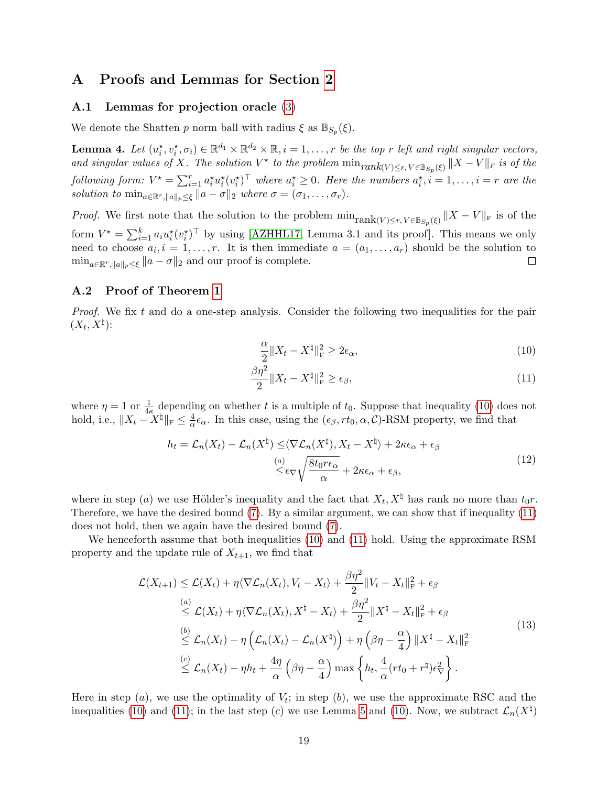### A Proofs and Lemmas for Section [2](#page-4-2)

#### A.1 Lemmas for projection oracle [\(3\)](#page-1-2)

We denote the Shatten p norm ball with radius  $\xi$  as  $\mathbb{B}_{S_p}(\xi)$ .

<span id="page-18-0"></span>**Lemma 4.** Let  $(u_i^*, v_i^*, \sigma_i) \in \mathbb{R}^{d_1} \times \mathbb{R}^{d_2} \times \mathbb{R}, i = 1, \ldots, r$  be the top r left and right singular vectors, and singular values of X. The solution  $V^*$  to the problem  $\min_{rank(V)\leq r, V\in \mathbb{B}_{S_p}(\xi)} ||X-V||_F$  is of the following form:  $V^* = \sum_{i=1}^r a_i^* u_i^* (v_i^*)^\top$  where  $a_i^* \geq 0$ . Here the numbers  $a_i^*, i = 1, \ldots, i = r$  are the solution to  $\min_{a \in \mathbb{R}^r, \|a\|_n \leq \xi} \|a - \sigma\|_2$  where  $\sigma = (\sigma_1, \ldots, \sigma_r)$ .

*Proof.* We first note that the solution to the problem  $\min_{\text{rank}(V)\leq r, V\in \mathbb{B}_{S_p}(\xi)} ||X-V||_{\text{F}}$  is of the form  $V^* = \sum_{i=1}^k a_i u_i^*(v_i^*)^\top$  by using [\[AZHHL17,](#page-15-4) Lemma 3.1 and its proof]. This means we only need to choose  $a_i, i = 1, \ldots, r$ . It is then immediate  $a = (a_1, \ldots, a_r)$  should be the solution to  $\min_{a \in \mathbb{R}^r, \|a\|_p \leq \xi} \|a - \sigma\|_2$  and our proof is complete.  $\Box$ 

#### <span id="page-18-1"></span>A.2 Proof of Theorem [1](#page-6-1)

Proof. We fix t and do a one-step analysis. Consider the following two inequalities for the pair  $(X_t, X^{\natural})$ :

<span id="page-18-3"></span><span id="page-18-2"></span>
$$
\frac{\alpha}{2} \|X_t - X^{\dagger}\|_{\mathrm{F}}^2 \ge 2\epsilon_{\alpha},\tag{10}
$$

$$
\frac{\beta \eta^2}{2} \|X_t - X^{\natural}\|_{\mathrm{F}}^2 \ge \epsilon_\beta,\tag{11}
$$

where  $\eta = 1$  or  $\frac{1}{4\kappa}$  depending on whether t is a multiple of  $t_0$ . Suppose that inequality [\(10\)](#page-18-2) does not hold, i.e.,  $||X_t - X^{\sharp}||_F \leq \frac{4}{\alpha}$  $\frac{4}{\alpha} \epsilon_{\alpha}$ . In this case, using the  $(\epsilon_{\beta}, rt_0, \alpha, C)$ -RSM property, we find that

$$
h_t = \mathcal{L}_n(X_t) - \mathcal{L}_n(X^{\natural}) \le \langle \nabla \mathcal{L}_n(X^{\natural}), X_t - X^{\natural} \rangle + 2\kappa \epsilon_\alpha + \epsilon_\beta
$$
  

$$
\overset{(a)}{\le} \epsilon_\nabla \sqrt{\frac{8t_0 r \epsilon_\alpha}{\alpha}} + 2\kappa \epsilon_\alpha + \epsilon_\beta,
$$
\n(12)

where in step (*a*) we use Hölder's inequality and the fact that  $X_t, X^\dagger$  has rank no more than  $t_0r$ . Therefore, we have the desired bound [\(7\)](#page-6-2). By a similar argument, we can show that if inequality [\(11\)](#page-18-3) does not hold, then we again have the desired bound [\(7\)](#page-6-2).

We henceforth assume that both inequalities [\(10\)](#page-18-2) and [\(11\)](#page-18-3) hold. Using the approximate RSM property and the update rule of  $X_{t+1}$ , we find that

<span id="page-18-4"></span>
$$
\mathcal{L}(X_{t+1}) \leq \mathcal{L}(X_t) + \eta \langle \nabla \mathcal{L}_n(X_t), V_t - X_t \rangle + \frac{\beta \eta^2}{2} \| V_t - X_t \|_{\mathrm{F}}^2 + \epsilon_{\beta}
$$
\n
$$
\stackrel{(a)}{\leq} \mathcal{L}(X_t) + \eta \langle \nabla \mathcal{L}_n(X_t), X^\natural - X_t \rangle + \frac{\beta \eta^2}{2} \| X^\natural - X_t \|_{\mathrm{F}}^2 + \epsilon_{\beta}
$$
\n
$$
\stackrel{(b)}{\leq} \mathcal{L}_n(X_t) - \eta \left( \mathcal{L}_n(X_t) - \mathcal{L}_n(X^\natural) \right) + \eta \left( \beta \eta - \frac{\alpha}{4} \right) \| X^\natural - X_t \|_{\mathrm{F}}^2
$$
\n
$$
\stackrel{(c)}{\leq} \mathcal{L}_n(X_t) - \eta h_t + \frac{4\eta}{\alpha} \left( \beta \eta - \frac{\alpha}{4} \right) \max \left\{ h_t, \frac{4}{\alpha} (r t_0 + r^\natural) \epsilon_{\nabla}^2 \right\}.
$$
\n
$$
(13)
$$

Here in step  $(a)$ , we use the optimality of  $V_t$ ; in step  $(b)$ , we use the approximate RSC and the inequalities [\(10\)](#page-18-2) and [\(11\)](#page-18-3); in the last step (c) we use Lemma [5](#page-19-0) and (10). Now, we subtract  $\mathcal{L}_n(X^{\dagger})$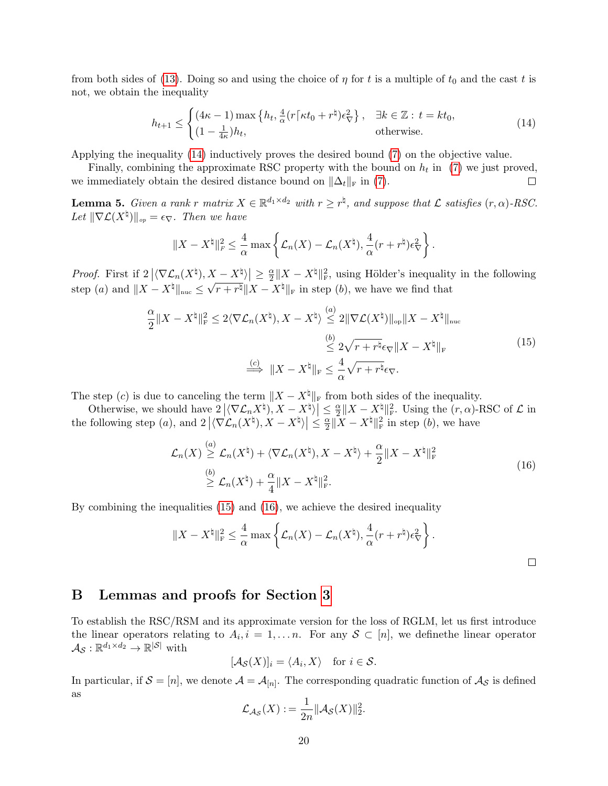from both sides of [\(13\)](#page-18-4). Doing so and using the choice of  $\eta$  for t is a multiple of  $t_0$  and the cast t is not, we obtain the inequality

<span id="page-19-1"></span>
$$
h_{t+1} \leq \begin{cases} (4\kappa - 1) \max\left\{ h_t, \frac{4}{\alpha} (r \lceil \kappa t_0 + r^{\natural}) \epsilon_{\nabla}^2 \right\}, & \exists k \in \mathbb{Z} : t = kt_0, \\ (1 - \frac{1}{4\kappa}) h_t, & \text{otherwise.} \end{cases}
$$
(14)

Applying the inequality [\(14\)](#page-19-1) inductively proves the desired bound [\(7\)](#page-6-2) on the objective value.

Finally, combining the approximate RSC property with the bound on  $h_t$  in [\(7\)](#page-6-2) we just proved, we immediately obtain the desired distance bound on  $\|\Delta_t\|_{\mathrm{F}}$  in [\(7\)](#page-6-2).  $\Box$ 

<span id="page-19-0"></span>**Lemma 5.** Given a rank r matrix  $X \in \mathbb{R}^{d_1 \times d_2}$  with  $r \geq r^{\natural}$ , and suppose that  $\mathcal{L}$  satisfies  $(r, \alpha)$ -RSC. Let  $\|\nabla \mathcal{L}(X^{\natural})\|_{op} = \epsilon_{\nabla}$ . Then we have

<span id="page-19-2"></span>
$$
||X - X^{\natural}||_F^2 \leq \frac{4}{\alpha} \max \left\{ \mathcal{L}_n(X) - \mathcal{L}_n(X^{\natural}), \frac{4}{\alpha} (r + r^{\natural}) \epsilon_{\nabla}^2 \right\}.
$$

*Proof.* First if  $2 | \langle \nabla \mathcal{L}_n(X^{\natural}), X - X^{\natural} \rangle | \geq \frac{\alpha}{2}$  $\left|\frac{X-X^{\natural}}{X}\right| \geq \frac{\alpha}{2} \|X-X^{\natural}\|_{\mathrm{F}}^2$ , using Hölder's inequality in the following step (a) and  $||X - X^{\natural}||_{\text{nuc}} \leq \sqrt{r + r^{\natural}} ||X - X^{\natural}||_{\text{F}}$  in step (b), we have we find that

$$
\frac{\alpha}{2} \|X - X^{\natural}\|_{\mathrm{F}}^2 \le 2 \langle \nabla \mathcal{L}_n(X^{\natural}), X - X^{\natural} \rangle \stackrel{(a)}{\le} 2 \|\nabla \mathcal{L}(X^{\natural})\|_{\mathrm{op}} \|X - X^{\natural}\|_{\mathrm{nuc}} \le 2 \sqrt{r + r^{\natural} \epsilon_{\nabla}} \|X - X^{\natural}\|_{\mathrm{F}} \le \frac{\epsilon}{\alpha} \sqrt{r + r^{\natural} \epsilon_{\nabla}}.
$$
\n
$$
\xrightarrow{\epsilon \epsilon} \|X - X^{\natural}\|_{\mathrm{F}} \le \frac{4}{\alpha} \sqrt{r + r^{\natural} \epsilon_{\nabla}}.
$$
\n
$$
(15)
$$

The step (c) is due to canceling the term  $||X - X^{\sharp}||_F$  from both sides of the inequality.

Otherwise, we should have  $2|\langle \nabla \mathcal{L}_n X^{\dagger}\rangle, X - X^{\dagger}\rangle| \leq \frac{\alpha}{2}$  $\frac{\alpha}{2} \|X - X^{\natural}\|_{\mathrm{F}}^2$ . Using the  $(r, \alpha)$ -RSC of  $\mathcal{L}$  in the following step (*a*), and  $2\left\langle \nabla \mathcal{L}_n(X^\sharp), X - X^\sharp \rangle \right| \leq \frac{\alpha}{2}$  $\frac{\alpha}{2} \|\overline{X} - X^{\natural}\|_{\mathrm{F}}^2$  in step  $(b)$ , we have

<span id="page-19-3"></span>
$$
\mathcal{L}_n(X) \stackrel{(a)}{\geq} \mathcal{L}_n(X^{\natural}) + \langle \nabla \mathcal{L}_n(X^{\natural}), X - X^{\natural} \rangle + \frac{\alpha}{2} \| X - X^{\natural} \|_{\mathrm{F}}^2
$$
\n
$$
\stackrel{(b)}{\geq} \mathcal{L}_n(X^{\natural}) + \frac{\alpha}{4} \| X - X^{\natural} \|_{\mathrm{F}}^2.
$$
\n(16)

By combining the inequalities [\(15\)](#page-19-2) and [\(16\)](#page-19-3), we achieve the desired inequality

$$
||X - X^{\natural}||_{\mathrm{F}}^2 \leq \frac{4}{\alpha} \max \left\{ \mathcal{L}_n(X) - \mathcal{L}_n(X^{\natural}), \frac{4}{\alpha} (r + r^{\natural}) \epsilon_{\nabla}^2 \right\}.
$$

.

### B Lemmas and proofs for Section [3](#page-7-0)

To establish the RSC/RSM and its approximate version for the loss of RGLM, let us first introduce the linear operators relating to  $A_i, i = 1, \ldots n$ . For any  $S \subset [n]$ , we define the linear operator  $\mathcal{A}_{\mathcal{S}}:\mathbb{R}^{d_1\times d_2}\rightarrow\mathbb{R}^{|\mathcal{S}|}$  with

$$
[\mathcal{A}_{\mathcal{S}}(X)]_i = \langle A_i, X \rangle \quad \text{for } i \in \mathcal{S}.
$$

In particular, if  $S = [n]$ , we denote  $\mathcal{A} = \mathcal{A}_{[n]}$ . The corresponding quadratic function of  $\mathcal{A}_{\mathcal{S}}$  is defined as

$$
\mathcal{L}_{\mathcal{A}_{\mathcal{S}}}(X) := \frac{1}{2n} ||\mathcal{A}_{\mathcal{S}}(X)||_2^2
$$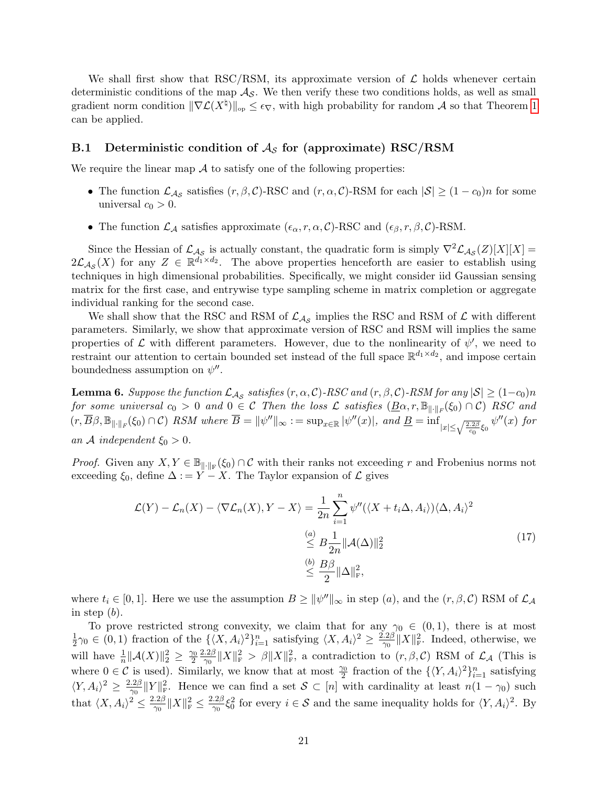We shall first show that RSC/RSM, its approximate version of  $\mathcal L$  holds whenever certain deterministic conditions of the map  $\mathcal{A}_{\mathcal{S}}$ . We then verify these two conditions holds, as well as small gradient norm condition  $\|\nabla \mathcal{L}(X^{\natural})\|_{op} \leq \epsilon_{\nabla}$ , with high probability for random A so that Theorem [1](#page-6-1) can be applied.

#### B.1 Deterministic condition of  $A<sub>S</sub>$  for (approximate) RSC/RSM

We require the linear map  $A$  to satisfy one of the following properties:

- The function  $\mathcal{L}_{\mathcal{A}_{\mathcal{S}}}$  satisfies  $(r, \beta, \mathcal{C})$ -RSC and  $(r, \alpha, \mathcal{C})$ -RSM for each  $|\mathcal{S}| \geq (1 c_0)n$  for some universal  $c_0 > 0$ .
- The function  $\mathcal{L}_{\mathcal{A}}$  satisfies approximate  $(\epsilon_{\alpha}, r, \alpha, \mathcal{C})$ -RSC and  $(\epsilon_{\beta}, r, \beta, \mathcal{C})$ -RSM.

Since the Hessian of  $\mathcal{L}_{\mathcal{A}_{\mathcal{S}}}$  is actually constant, the quadratic form is simply  $\nabla^2 \mathcal{L}_{\mathcal{A}_{\mathcal{S}}}(Z)[X][X] =$  $2\mathcal{L}_{\mathcal{A}_{\mathcal{S}}}(X)$  for any  $Z \in \mathbb{R}^{d_1 \times d_2}$ . The above properties henceforth are easier to establish using techniques in high dimensional probabilities. Specifically, we might consider iid Gaussian sensing matrix for the first case, and entrywise type sampling scheme in matrix completion or aggregate individual ranking for the second case.

We shall show that the RSC and RSM of  $\mathcal{L}_{\mathcal{A}_{\mathcal{S}}}$  implies the RSC and RSM of  $\mathcal{L}$  with different parameters. Similarly, we show that approximate version of RSC and RSM will implies the same properties of  $\mathcal L$  with different parameters. However, due to the nonlinearity of  $\psi'$ , we need to restraint our attention to certain bounded set instead of the full space  $\mathbb{R}^{d_1 \times d_2}$ , and impose certain boundedness assumption on  $\psi''$ .

<span id="page-20-0"></span>**Lemma 6.** Suppose the function  $\mathcal{L}_{\mathcal{A}_{\mathcal{S}}}$  satisfies  $(r, \alpha, \mathcal{C})$ -RSC and  $(r, \beta, \mathcal{C})$ -RSM for any  $|\mathcal{S}| \ge (1-c_0)n$ for some universal  $c_0 > 0$  and  $0 \in \mathcal{C}$  Then the loss  $\mathcal{L}$  satisfies  $(\underline{B\alpha}, r, \mathbb{B}_{\|\cdot\|_F}(\xi_0) \cap \mathcal{C})$  RSC and  $(r, \overline{B}\beta, \mathbb{B}_{\|\cdot\|_F}(\xi_0) \cap C)$  RSM where  $\overline{B} = {\|\psi''\|_{\infty}} := \sup_{x \in \mathbb{R}} |\psi''(x)|$ , and  $\underline{B} = \inf_{|x| \leq \sqrt{\frac{2.2\beta}{c_0}} \xi_0} \psi''(x)$  for an A independent  $\xi_0 > 0$ .

*Proof.* Given any  $X, Y \in \mathbb{B}_{\|\cdot\|_F}(\xi_0) \cap C$  with their ranks not exceeding r and Frobenius norms not exceeding  $\xi_0$ , define  $\Delta := Y - X$ . The Taylor expansion of  $\mathcal L$  gives

$$
\mathcal{L}(Y) - \mathcal{L}_n(X) - \langle \nabla \mathcal{L}_n(X), Y - X \rangle = \frac{1}{2n} \sum_{i=1}^n \psi''(\langle X + t_i \Delta, A_i \rangle) \langle \Delta, A_i \rangle^2
$$
  
\n
$$
\leq B \frac{1}{2n} ||\mathcal{A}(\Delta)||_2^2
$$
  
\n
$$
\leq \frac{b}{2} ||\Delta||_F^2,
$$
\n(17)

where  $t_i \in [0,1]$ . Here we use the assumption  $B \ge ||\psi''||_{\infty}$  in step  $(a)$ , and the  $(r, \beta, C)$  RSM of  $\mathcal{L}_{\mathcal{A}}$ in step  $(b)$ .

To prove restricted strong convexity, we claim that for any  $\gamma_0 \in (0,1)$ , there is at most 1  $\frac{1}{2}\gamma_0 \in (0,1)$  fraction of the  $\{\langle X, A_i\rangle^2\}_{i=1}^n$  satisfying  $\langle X, A_i\rangle^2 \geq \frac{2.2\beta}{\gamma_0}$  $\frac{2\beta}{\gamma_0} \|X\|_{\text{F}}^2$ . Indeed, otherwise, we will have  $\frac{1}{n} \|\mathcal{A}(X)\|_2^2 \geq \frac{\gamma_0}{2}$ 2  $2.2\beta$  $\frac{2\beta}{\gamma_0} \|X\|_{\mathrm{F}}^2 > \beta \|X\|_{\mathrm{F}}^2$ , a contradiction to  $(r, \beta, \mathcal{C})$  RSM of  $\mathcal{L}_\mathcal{A}$  (This is where  $0 \in \mathcal{C}$  is used). Similarly, we know that at most  $\frac{\gamma_0}{2}$  fraction of the  $\{\langle Y, A_i \rangle^2\}_{i=1}^n$  satisfying  $\langle Y, A_i \rangle^2 \geq \frac{2.2\beta}{\gamma_0}$  $\frac{2\beta}{\gamma_0}||Y||_{\mathrm{F}}^2$ . Hence we can find a set  $\mathcal{S} \subset [n]$  with cardinality at least  $n(1-\gamma_0)$  such that  $\langle X, A_i \rangle^2 \leq \frac{2.2\beta}{\gamma_0}$  $\frac{2\beta}{\gamma_0} \|X\|_{\text{F}}^2 \leq \frac{2.2\beta}{\gamma_0}$  $\frac{12\beta}{\gamma_0}\xi_0^2$  for every  $i \in \mathcal{S}$  and the same inequality holds for  $\langle Y, A_i \rangle^2$ . By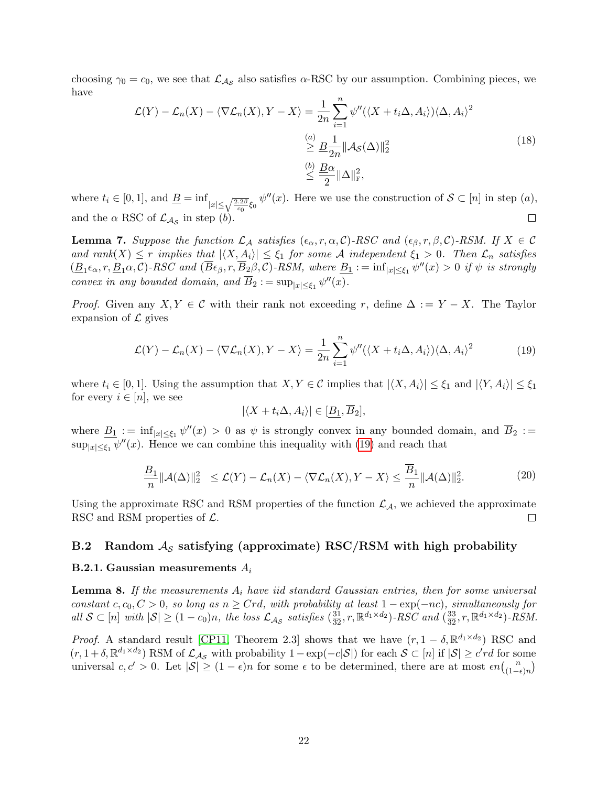choosing  $\gamma_0 = c_0$ , we see that  $\mathcal{L}_{\mathcal{A}_{\mathcal{S}}}$  also satisfies  $\alpha$ -RSC by our assumption. Combining pieces, we have

$$
\mathcal{L}(Y) - \mathcal{L}_n(X) - \langle \nabla \mathcal{L}_n(X), Y - X \rangle = \frac{1}{2n} \sum_{i=1}^n \psi''(\langle X + t_i \Delta, A_i \rangle) \langle \Delta, A_i \rangle^2
$$
  
\n
$$
\geq \frac{a}{2n} \|\mathcal{A}_{\mathcal{S}}(\Delta)\|_2^2
$$
  
\n
$$
\leq \frac{b}{2} \frac{B\alpha}{2} \|\Delta\|_{\mathcal{F}}^2,
$$
\n(18)

where  $t_i \in [0,1]$ , and  $\underline{B} = \inf_{|x| \leq \sqrt{\frac{2.2\beta}{c_0}} \xi_0} \psi''(x)$ . Here we use the construction of  $S \subset [n]$  in step  $(a)$ ,  $\Box$ and the  $\alpha$  RSC of  $\mathcal{L}_{\mathcal{A}_{\mathcal{S}}}$  in step (b).

<span id="page-21-2"></span>**Lemma 7.** Suppose the function  $\mathcal{L}_\mathcal{A}$  satisfies  $(\epsilon_\alpha, r, \alpha, \mathcal{C})$ -RSC and  $(\epsilon_\beta, r, \beta, \mathcal{C})$ -RSM. If  $X \in \mathcal{C}$ and rank $(X) \leq r$  implies that  $|\langle X, A_i \rangle| \leq \xi_1$  for some A independent  $\xi_1 > 0$ . Then  $\mathcal{L}_n$  satisfies  $(\underline{B}_1\epsilon_{\alpha}, r, \underline{B}_1\alpha, C)$ -RSC and  $(\overline{B}_{\epsilon_{\beta}}, r, \overline{B}_2\beta, C)$ -RSM, where  $\underline{B}_1 := \inf_{|x| \leq \xi_1} \psi''(x) > 0$  if  $\psi$  is strongly convex in any bounded domain, and  $\overline{B}_2 := \sup_{|x| \le \xi_1} \psi''(x)$ .

*Proof.* Given any  $X, Y \in \mathcal{C}$  with their rank not exceeding r, define  $\Delta := Y - X$ . The Taylor expansion of  $\mathcal{L}$  gives

<span id="page-21-0"></span>
$$
\mathcal{L}(Y) - \mathcal{L}_n(X) - \langle \nabla \mathcal{L}_n(X), Y - X \rangle = \frac{1}{2n} \sum_{i=1}^n \psi''(\langle X + t_i \Delta, A_i \rangle) \langle \Delta, A_i \rangle^2 \tag{19}
$$

where  $t_i \in [0, 1]$ . Using the assumption that  $X, Y \in \mathcal{C}$  implies that  $|\langle X, A_i \rangle| \leq \xi_1$  and  $|\langle Y, A_i \rangle| \leq \xi_1$ for every  $i \in [n]$ , we see

$$
|\langle X+t_i\Delta, A_i\rangle| \in [\underline{B_1}, \overline{B}_2],
$$

where  $\underline{B_1} := \inf_{|x| \le \xi_1} \psi''(x) > 0$  as  $\psi$  is strongly convex in any bounded domain, and  $\overline{B_2} :=$  $\sup_{|x| \le \xi_1} \psi''(x)$ . Hence we can combine this inequality with [\(19\)](#page-21-0) and reach that

$$
\frac{B_1}{n} \|\mathcal{A}(\Delta)\|_2^2 \le \mathcal{L}(Y) - \mathcal{L}_n(X) - \langle \nabla \mathcal{L}_n(X), Y - X \rangle \le \frac{\overline{B}_1}{n} \|\mathcal{A}(\Delta)\|_2^2.
$$
 (20)

Using the approximate RSC and RSM properties of the function  $\mathcal{L}_{\mathcal{A}}$ , we achieved the approximate RSC and RSM properties of  $\mathcal{L}$ .  $\Box$ 

#### B.2 Random  $A<sub>S</sub>$  satisfying (approximate) RSC/RSM with high probability

#### B.2.1. Gaussian measurements  $A_i$

<span id="page-21-1"></span>**Lemma 8.** If the measurements  $A_i$  have iid standard Gaussian entries, then for some universal constant  $c, c_0, C > 0$ , so long as  $n \geq Crd$ , with probability at least  $1 - \exp(-nc)$ , simultaneously for all  $S \subset [n]$  with  $|S| \geq (1 - c_0)n$ , the loss  $\mathcal{L}_{\mathcal{A}_{\mathcal{S}}}$  satisfies  $(\frac{31}{32}, r, \mathbb{R}^{d_1 \times d_2})$ -RSC and  $(\frac{33}{32}, r, \mathbb{R}^{d_1 \times d_2})$ -RSM.

*Proof.* A standard result [\[CP11,](#page-15-0) Theorem 2.3] shows that we have  $(r, 1 - \delta, \mathbb{R}^{d_1 \times d_2})$  RSC and  $(r, 1 + \delta, \mathbb{R}^{d_1 \times d_2})$  RSM of  $\mathcal{L}_{\mathcal{A}_{\mathcal{S}}}$  with probability  $1 - \exp(-c|\mathcal{S}|)$  for each  $\mathcal{S} \subset [n]$  if  $|\mathcal{S}| \geq c'r d$  for some universal  $c, c' > 0$ . Let  $|\mathcal{S}| \geq (1 - \epsilon)n$  for some  $\epsilon$  to be determined, there are at most  $\epsilon n \binom{n}{n-r}$  $\binom{n}{(1-\epsilon)n}$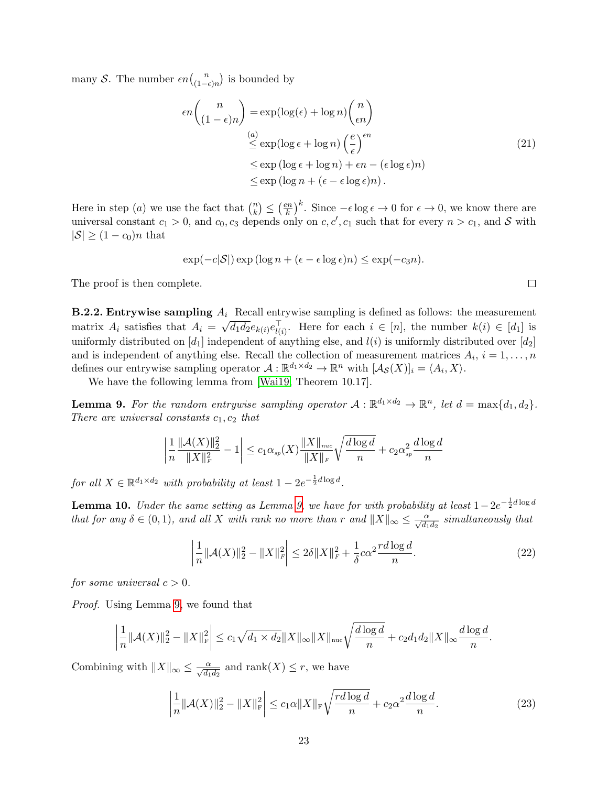many S. The number  $\epsilon n \binom{n}{1-n}$  $\binom{n}{(1-\epsilon)n}$  is bounded by

$$
\epsilon n \binom{n}{(1-\epsilon)n} = \exp(\log(\epsilon) + \log n) \binom{n}{\epsilon n}
$$
  
\n
$$
\stackrel{(a)}{\leq} \exp(\log \epsilon + \log n) \left(\frac{e}{\epsilon}\right)^{\epsilon n}
$$
  
\n
$$
\leq \exp(\log \epsilon + \log n) + \epsilon n - (\epsilon \log \epsilon)n)
$$
  
\n
$$
\leq \exp(\log n + (\epsilon - \epsilon \log \epsilon)n).
$$
\n(21)

Here in step (*a*) we use the fact that  $\binom{n}{k}$  $\binom{n}{k} \leq \left(\frac{en}{k}\right)$  $\left(\frac{k}{k}\right)^k$ . Since  $-\epsilon \log \epsilon \to 0$  for  $\epsilon \to 0$ , we know there are universal constant  $c_1 > 0$ , and  $c_0, c_3$  depends only on  $c, c', c_1$  such that for every  $n > c_1$ , and S with  $|\mathcal{S}| \geq (1 - c_0)n$  that

$$
\exp(-c|\mathcal{S}|)\exp(\log n + (\epsilon - \epsilon \log \epsilon)n) \leq \exp(-c_3 n).
$$

The proof is then complete.

**B.2.2. Entrywise sampling**  $A_i$  Recall entrywise sampling is defined as follows: the measurement matrix  $A_i$  satisfies that  $A_i =$  $\mathbf{F}_{\mu}$  $\overline{d_1d_2}e_{k(i)}e_{l(i)}^{\top}$ . Here for each  $i \in [n]$ , the number  $k(i) \in [d_1]$  is uniformly distributed on  $[d_1]$  independent of anything else, and  $l(i)$  is uniformly distributed over  $[d_2]$ and is independent of anything else. Recall the collection of measurement matrices  $A_i$ ,  $i = 1, \ldots, n$ defines our entrywise sampling operator  $\mathcal{A}: \mathbb{R}^{d_1 \times d_2} \to \mathbb{R}^n$  with  $[\mathcal{A}_{\mathcal{S}}(X)]_i = \langle A_i, X \rangle$ .

We have the following lemma from [\[Wai19,](#page-17-3) Theorem 10.17].

<span id="page-22-0"></span>**Lemma 9.** For the random entrywise sampling operator  $A: \mathbb{R}^{d_1 \times d_2} \to \mathbb{R}^n$ , let  $d = \max\{d_1, d_2\}$ . There are universal constants  $c_1, c_2$  that

$$
\left|\frac{1}{n}\frac{\|{\mathcal A}(X)\|_2^2}{\|X\|_F^2} - 1\right| \leq c_1 \alpha_{\it sp}(X) \frac{\|X\|_{\it nuc}}{\|X\|_F} \sqrt{\frac{d \log d}{n}} + c_2 \alpha_{\it sp}^2 \frac{d \log d}{n}
$$

for all  $X \in \mathbb{R}^{d_1 \times d_2}$  with probability at least  $1 - 2e^{-\frac{1}{2}d \log d}$ .

<span id="page-22-2"></span>**Lemma 10.** Under the same setting as Lemma [9,](#page-22-0) we have for with probability at least  $1-2e^{-\frac{1}{2}d\log d}$ that for any  $\delta \in (0,1)$ , and all X with rank no more than r and  $||X||_{\infty} \leq \frac{\alpha}{\sqrt{d_1d_2}}$  simultaneously that

$$
\left|\frac{1}{n}\|\mathcal{A}(X)\|_{2}^{2} - \|X\|_{F}^{2}\right| \le 2\delta\|X\|_{F}^{2} + \frac{1}{\delta}c\alpha^{2}\frac{rd\log d}{n}.
$$
\n(22)

for some universal  $c > 0$ .

Proof. Using Lemma [9,](#page-22-0) we found that

$$
\left|\frac{1}{n}\|\mathcal{A}(X)\|_{2}^{2}-\|X\|_{\mathrm{F}}^{2}\right|\leq c_{1}\sqrt{d_{1}\times d_{2}}\|X\|_{\infty}\|X\|_{\mathrm{nuc}}\sqrt{\frac{d\log d}{n}}+c_{2}d_{1}d_{2}\|X\|_{\infty}\frac{d\log d}{n}.
$$

Combining with  $||X||_{\infty} \le \frac{\alpha}{\sqrt{d_1 d_2}}$  and  $\text{rank}(X) \le r$ , we have

<span id="page-22-1"></span>
$$
\left|\frac{1}{n}\|\mathcal{A}(X)\|_{2}^{2} - \|X\|_{\mathcal{F}}^{2}\right| \le c_{1}\alpha\|X\|_{\mathcal{F}}\sqrt{\frac{rd\log d}{n}} + c_{2}\alpha^{2}\frac{d\log d}{n}.\tag{23}
$$

 $\Box$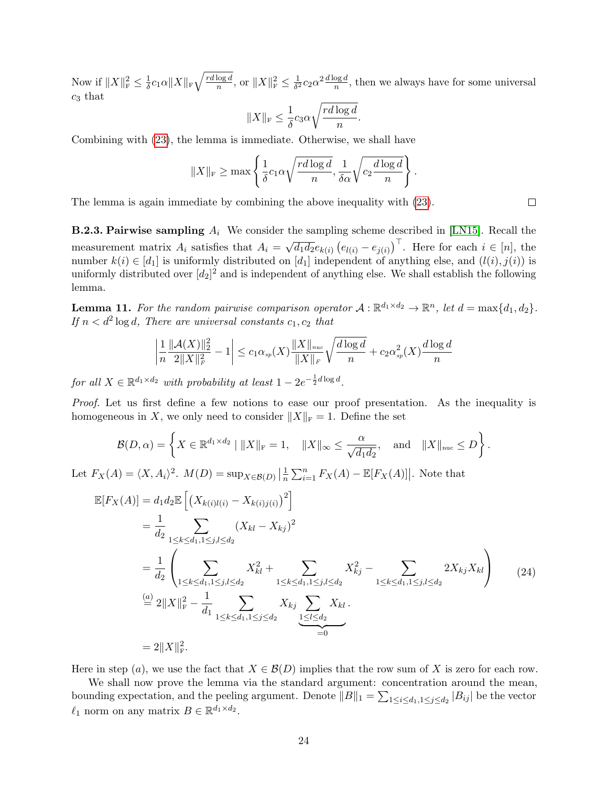Now if  $||X||_{\text{F}}^2 \leq \frac{1}{\delta}$  $\frac{1}{\delta}c_1\alpha\|X\|_{\rm F}\sqrt{\frac{rd\log d}{n}}$  $\frac{\log d}{n}$ , or  $||X||_{\mathrm{F}}^2 \leq \frac{1}{\delta^2}$  $\frac{1}{\delta^2}c_2\alpha^2\frac{d\log d}{n}$ , then we always have for some universal  $c_3$  that

$$
||X||_{\mathrm{F}} \leq \frac{1}{\delta} c_3 \alpha \sqrt{\frac{rd \log d}{n}}.
$$

Combining with [\(23\)](#page-22-1), the lemma is immediate. Otherwise, we shall have

$$
||X||_{\mathrm{F}} \ge \max \left\{ \frac{1}{\delta} c_1 \alpha \sqrt{\frac{rd \log d}{n}}, \frac{1}{\delta \alpha} \sqrt{c_2 \frac{d \log d}{n}} \right\}.
$$

The lemma is again immediate by combining the above inequality with [\(23\)](#page-22-1).

**B.2.3. Pairwise sampling**  $A_i$  We consider the sampling scheme described in [\[LN15\]](#page-16-2). Recall the measurement matrix  $A_i$  satisfies that  $A_i =$ √  $\overline{d_1d_2}e_{k(i)}(e_{l(i)}-e_{j(i)})^{\top}$ . Here for each  $i \in [n]$ , the number  $k(i) \in [d_1]$  is uniformly distributed on  $[d_1]$  independent of anything else, and  $(l(i), j(i))$  is uniformly distributed over  $[d_2]^2$  and is independent of anything else. We shall establish the following lemma.

<span id="page-23-0"></span>**Lemma 11.** For the random pairwise comparison operator  $A : \mathbb{R}^{d_1 \times d_2} \to \mathbb{R}^n$ , let  $d = \max\{d_1, d_2\}$ . If  $n < d^2 \log d$ , There are universal constants  $c_1, c_2$  that

$$
\left|\frac{1}{n}\frac{\|\mathcal{A}(X)\|_2^2}{2\|X\|_F^2} - 1\right| \le c_1 \alpha_{sp}(X) \frac{\|X\|_{nuc}}{\|X\|_F} \sqrt{\frac{d \log d}{n}} + c_2 \alpha_{sp}^2(X) \frac{d \log d}{n}
$$

for all  $X \in \mathbb{R}^{d_1 \times d_2}$  with probability at least  $1 - 2e^{-\frac{1}{2}d \log d}$ .

Proof. Let us first define a few notions to ease our proof presentation. As the inequality is homogeneous in X, we only need to consider  $||X||_F = 1$ . Define the set

$$
\mathcal{B}(D,\alpha) = \left\{ X \in \mathbb{R}^{d_1 \times d_2} \mid \|X\|_{\mathrm{F}} = 1, \quad \|X\|_{\infty} \le \frac{\alpha}{\sqrt{d_1 d_2}}, \quad \text{and} \quad \|X\|_{\mathrm{nuc}} \le D \right\}.
$$

Let  $F_X(A) = \langle X, A_i \rangle^2$ .  $M(D) = \sup_{X \in \mathcal{B}(D)} \left| \frac{1}{n} \right|$  $\frac{1}{n} \sum_{i=1}^{n} F_X(A) - \mathbb{E}[F_X(A)]$ . Note that

$$
\mathbb{E}[F_X(A)] = d_1 d_2 \mathbb{E} \left[ \left( X_{k(i)l(i)} - X_{k(i)j(i)} \right)^2 \right]
$$
\n
$$
= \frac{1}{d_2} \sum_{1 \le k \le d_1, 1 \le j, l \le d_2} \left( X_{kl} - X_{kj} \right)^2
$$
\n
$$
= \frac{1}{d_2} \left( \sum_{1 \le k \le d_1, 1 \le j, l \le d_2} X_{kl}^2 + \sum_{1 \le k \le d_1, 1 \le j, l \le d_2} X_{kj}^2 - \sum_{1 \le k \le d_1, 1 \le j, l \le d_2} 2X_{kj} X_{kl} \right) \tag{24}
$$
\n
$$
\stackrel{\text{(a)}}{=} 2 \|X\|_{\mathcal{F}}^2 - \frac{1}{d_1} \sum_{1 \le k \le d_1, 1 \le j \le d_2} X_{kj} \sum_{\substack{1 \le l \le d_2 \\ = 0}} X_{kl}.
$$
\n
$$
= 2 \|X\|_{\mathcal{F}}^2.
$$

Here in step (a), we use the fact that  $X \in \mathcal{B}(D)$  implies that the row sum of X is zero for each row.

We shall now prove the lemma via the standard argument: concentration around the mean, bounding expectation, and the peeling argument. Denote  $||B||_1 = \sum_{1 \le i \le d_1, 1 \le j \le d_2} |B_{ij}|$  be the vector  $\ell_1$  norm on any matrix  $B \in \mathbb{R}^{d_1 \times d_2}$ .

 $\Box$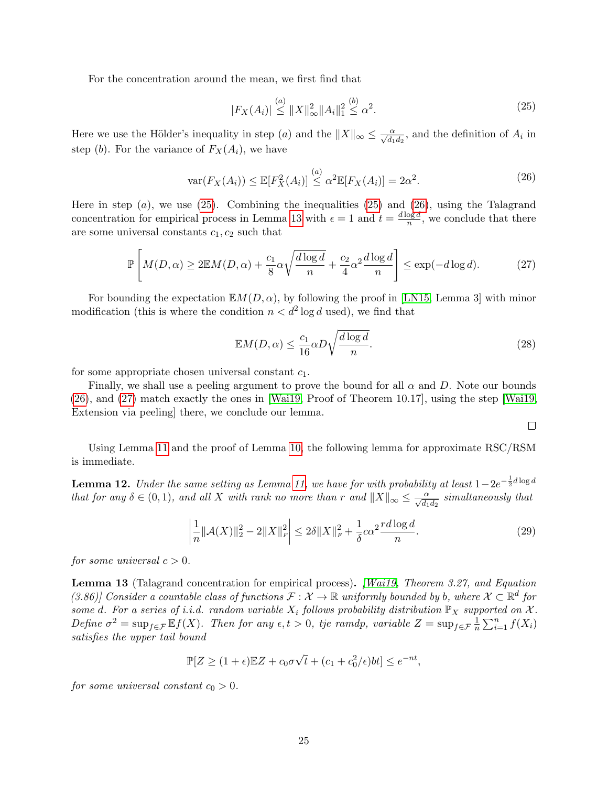For the concentration around the mean, we first find that

<span id="page-24-1"></span><span id="page-24-0"></span>
$$
|F_X(A_i)| \stackrel{(a)}{\leq} ||X||_{\infty}^2 ||A_i||_1^2 \stackrel{(b)}{\leq} \alpha^2.
$$
 (25)

Here we use the Hölder's inequality in step (*a*) and the  $||X||_{\infty} \le \frac{\alpha}{\sqrt{d_1 d_2}}$ , and the definition of  $A_i$  in step (b). For the variance of  $F_X(A_i)$ , we have

<span id="page-24-3"></span>
$$
\text{var}(F_X(A_i)) \le \mathbb{E}[F_X^2(A_i)] \stackrel{(a)}{\le} \alpha^2 \mathbb{E}[F_X(A_i)] = 2\alpha^2. \tag{26}
$$

Here in step  $(a)$ , we use  $(25)$ . Combining the inequalities  $(25)$  and  $(26)$ , using the Talagrand concentration for empirical process in Lemma [13](#page-24-2) with  $\epsilon = 1$  and  $t = \frac{d \log d}{d \log d}$  $\frac{\log a}{n}$ , we conclude that there are some universal constants  $c_1, c_2$  such that

$$
\mathbb{P}\left[M(D,\alpha) \ge 2\mathbb{E}M(D,\alpha) + \frac{c_1}{8}\alpha\sqrt{\frac{d\log d}{n}} + \frac{c_2}{4}\alpha^2\frac{d\log d}{n}\right] \le \exp(-d\log d). \tag{27}
$$

For bounding the expectation  $\mathbb{E}M(D,\alpha)$ , by following the proof in [\[LN15,](#page-16-2) Lemma 3] with minor modification (this is where the condition  $n < d^2 \log d$  used), we find that

$$
\mathbb{E}M(D,\alpha) \le \frac{c_1}{16}\alpha D\sqrt{\frac{d\log d}{n}}.\tag{28}
$$

for some appropriate chosen universal constant  $c_1$ .

Finally, we shall use a peeling argument to prove the bound for all  $\alpha$  and D. Note our bounds [\(26\)](#page-24-1), and [\(27\)](#page-24-3) match exactly the ones in [\[Wai19,](#page-17-3) Proof of Theorem 10.17], using the step [\[Wai19,](#page-17-3) Extension via peeling] there, we conclude our lemma.

 $\Box$ 

Using Lemma [11](#page-23-0) and the proof of Lemma [10,](#page-22-2) the following lemma for approximate RSC/RSM is immediate.

<span id="page-24-4"></span>**Lemma 12.** Under the same setting as Lemma [11,](#page-23-0) we have for with probability at least  $1-2e^{-\frac{1}{2}d\log d}$ that for any  $\delta \in (0,1)$ , and all X with rank no more than r and  $||X||_{\infty} \leq \frac{\alpha}{\sqrt{d_1d_2}}$  simultaneously that

$$
\left|\frac{1}{n}\|\mathcal{A}(X)\|_{2}^{2} - 2\|X\|_{F}^{2}\right| \le 2\delta\|X\|_{F}^{2} + \frac{1}{\delta}c\alpha^{2}\frac{rd\log d}{n}.\tag{29}
$$

for some universal  $c > 0$ .

<span id="page-24-2"></span>Lemma 13 (Talagrand concentration for empirical process). *[\[Wai19,](#page-17-3) Theorem 3.27, and Equation* (3.86)] Consider a countable class of functions  $\mathcal{F}: \mathcal{X} \to \mathbb{R}$  uniformly bounded by b, where  $\mathcal{X} \subset \mathbb{R}^d$  for some d. For a series of i.i.d. random variable  $X_i$  follows probability distribution  $\mathbb{P}_X$  supported on  $\mathcal{X}$ . Define  $\sigma^2 = \sup_{f \in \mathcal{F}} \mathbb{E}f(X)$ . Then for any  $\epsilon, t > 0$ , tje ramdp, variable  $Z = \sup_{f \in \mathcal{F}} \frac{1}{n}$  $\frac{1}{n}\sum_{i=1}^n f(X_i)$ satisfies the upper tail bound

$$
\mathbb{P}[Z \ge (1+\epsilon)\mathbb{E}Z + c_0\sigma\sqrt{t} + (c_1 + c_0^2/\epsilon)bt] \le e^{-nt},
$$

for some universal constant  $c_0 > 0$ .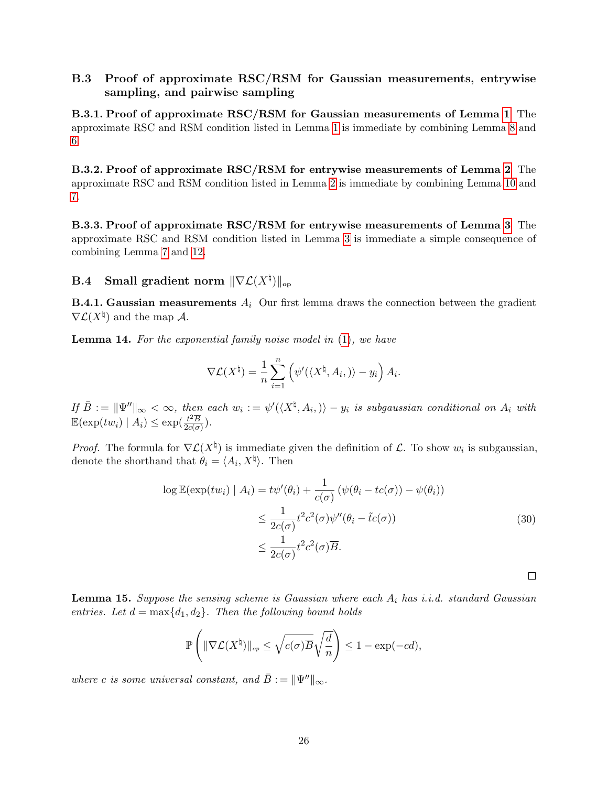#### B.3 Proof of approximate RSC/RSM for Gaussian measurements, entrywise sampling, and pairwise sampling

<span id="page-25-0"></span>B.3.1. Proof of approximate RSC/RSM for Gaussian measurements of Lemma [1](#page-9-1) The approximate RSC and RSM condition listed in Lemma [1](#page-9-1) is immediate by combining Lemma [8](#page-21-1) and [6.](#page-20-0)

<span id="page-25-2"></span>B.3.2. Proof of approximate RSC/RSM for entrywise measurements of Lemma [2](#page-11-1) The approximate RSC and RSM condition listed in Lemma [2](#page-11-1) is immediate by combining Lemma [10](#page-22-2) and [7.](#page-21-2)

<span id="page-25-3"></span>B.3.3. Proof of approximate RSC/RSM for entrywise measurements of Lemma [3](#page-13-0) The approximate RSC and RSM condition listed in Lemma [3](#page-13-0) is immediate a simple consequence of combining Lemma [7](#page-21-2) and [12.](#page-24-4)

### $\mathbf{B.4} \quad$  Small gradient norm  $\|\nabla \mathcal{L}(X^\natural)\|_{\mathrm{op}}$

**B.4.1. Gaussian measurements**  $A_i$  Our first lemma draws the connection between the gradient  $\nabla \mathcal{L}(X^{\natural})$  and the map A.

**Lemma 14.** For the exponential family noise model in [\(1\)](#page-0-0), we have

$$
\nabla \mathcal{L}(X^{\natural}) = \frac{1}{n} \sum_{i=1}^{n} (\psi'(\langle X^{\natural}, A_{i}, \rangle) - y_{i}) A_{i}.
$$

If  $\bar{B} := \|\Psi''\|_{\infty} < \infty$ , then each  $w_i := \psi'(\langle X^{\natural}, A_i, \rangle) - y_i$  is subgaussian conditional on  $A_i$  with  $\mathbb{E}(\exp(tw_i) | A_i) \leq \exp(\frac{t^2 \overline{B}}{2c(\sigma)})$  $rac{t^2B}{2c(\sigma)}$ ).

*Proof.* The formula for  $\nabla \mathcal{L}(X^{\dagger})$  is immediate given the definition of  $\mathcal{L}$ . To show  $w_i$  is subgaussian, denote the shorthand that  $\theta_i = \langle A_i, X^{\dagger} \rangle$ . Then

$$
\log \mathbb{E}(\exp(tw_i) | A_i) = t\psi'(\theta_i) + \frac{1}{c(\sigma)} \left( \psi(\theta_i - tc(\sigma)) - \psi(\theta_i) \right)
$$
  

$$
\leq \frac{1}{2c(\sigma)} t^2 c^2(\sigma) \psi''(\theta_i - \tilde{t}c(\sigma))
$$
  

$$
\leq \frac{1}{2c(\sigma)} t^2 c^2(\sigma) \overline{B}.
$$
 (30)

<span id="page-25-1"></span>**Lemma 15.** Suppose the sensing scheme is Gaussian where each  $A_i$  has i.i.d. standard Gaussian entries. Let  $d = \max\{d_1, d_2\}$ . Then the following bound holds

$$
\mathbb{P}\left(\|\nabla \mathcal{L}(X^{\natural})\|_{op} \leq \sqrt{c(\sigma)\overline{B}}\sqrt{\frac{d}{n}}\right) \leq 1 - \exp(-cd),
$$

where c is some universal constant, and  $\bar{B} := ||\Psi''||_{\infty}$ .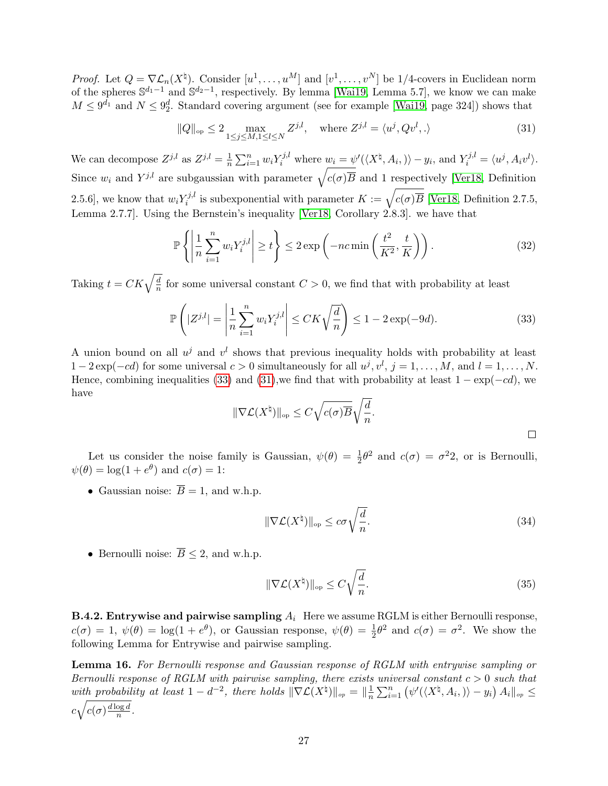*Proof.* Let  $Q = \nabla \mathcal{L}_n(X^{\dagger})$ . Consider  $[u^1, \ldots, u^M]$  and  $[v^1, \ldots, v^N]$  be 1/4-covers in Euclidean norm of the spheres  $\mathbb{S}^{d_1-1}$  and  $\mathbb{S}^{d_2-1}$ , respectively. By lemma [\[Wai19,](#page-17-3) Lemma 5.7], we know we can make  $M \leq 9^{d_1}$  and  $N \leq 9^d_2$ . Standard covering argument (see for example [\[Wai19,](#page-17-3) page 324]) shows that

<span id="page-26-2"></span>
$$
||Q||_{\text{op}} \le 2 \max_{1 \le j \le M, 1 \le l \le N} Z^{j,l}, \quad \text{where } Z^{j,l} = \langle u^j, Qv^l, . \rangle \tag{31}
$$

We can decompose  $Z^{j,l}$  as  $Z^{j,l} = \frac{1}{n}$  $\frac{1}{n}\sum_{i=1}^n w_i Y_i^{j,l}$  where  $w_i = \psi'(\langle X^\natural, A_i, \rangle) - y_i$ , and  $Y_i^{j,l} = \langle u^j, A_i v^l \rangle$ . Since  $w_i$  and  $Y^{j,l}$  are subgaussian with parameter  $\sqrt{c(\sigma)\overline{B}}$  and 1 respectively [\[Ver18,](#page-17-11) Definition 2.5.6], we know that  $w_i Y_i^{j,l}$ <sup>r*j,l*</sup> is subexponential with parameter  $K := \sqrt{c(\sigma)B}$  [\[Ver18,](#page-17-11) Definition 2.7.5, Lemma 2.7.7]. Using the Bernstein's inequality [\[Ver18,](#page-17-11) Corollary 2.8.3]. we have that

$$
\mathbb{P}\left\{\left|\frac{1}{n}\sum_{i=1}^{n} w_i Y_i^{j,l}\right| \ge t\right\} \le 2 \exp\left(-nc \min\left(\frac{t^2}{K^2}, \frac{t}{K}\right)\right). \tag{32}
$$

Taking  $t = CK\sqrt{\frac{d}{n}}$  $\frac{a}{n}$  for some universal constant  $C > 0$ , we find that with probability at least

$$
\mathbb{P}\left(|Z^{j,l}| = \left|\frac{1}{n}\sum_{i=1}^{n} w_i Y_i^{j,l}\right| \le CK\sqrt{\frac{d}{n}}\right) \le 1 - 2\exp(-9d). \tag{33}
$$

A union bound on all  $u^j$  and  $v^l$  shows that previous inequality holds with probability at least  $1-2\exp(-cd)$  for some universal  $c>0$  simultaneously for all  $u^j, v^l, j=1,\ldots,M$ , and  $l=1,\ldots,N$ . Hence, combining inequalities [\(33\)](#page-26-1) and [\(31\)](#page-26-2),we find that with probability at least  $1 - \exp(-cd)$ , we have

<span id="page-26-1"></span>
$$
\|\nabla \mathcal{L}(X^{\natural})\|_{\text{op}} \leq C\sqrt{c(\sigma)\overline{B}}\sqrt{\frac{d}{n}}.
$$

Let us consider the noise family is Gaussian,  $\psi(\theta) = \frac{1}{2}\theta^2$  and  $c(\sigma) = \sigma^2 2$ , or is Bernoulli,  $\psi(\theta) = \log(1 + e^{\theta})$  and  $c(\sigma) = 1$ :

• Gaussian noise:  $\overline{B} = 1$ , and w.h.p.

$$
\|\nabla \mathcal{L}(X^{\natural})\|_{\text{op}} \le c\sigma \sqrt{\frac{d}{n}}.\tag{34}
$$

• Bernoulli noise:  $\overline{B} \leq 2$ , and w.h.p.

$$
\|\nabla \mathcal{L}(X^{\natural})\|_{\text{op}} \le C\sqrt{\frac{d}{n}}.\tag{35}
$$

**B.4.2. Entrywise and pairwise sampling**  $A_i$  Here we assume RGLM is either Bernoulli response,  $c(\sigma) = 1, \ \psi(\theta) = \log(1 + e^{\theta}),$  or Gaussian response,  $\psi(\theta) = \frac{1}{2}\theta^2$  and  $c(\sigma) = \sigma^2$ . We show the following Lemma for Entrywise and pairwise sampling.

<span id="page-26-0"></span>Lemma 16. For Bernoulli response and Gaussian response of RGLM with entrywise sampling or Bernoulli response of RGLM with pairwise sampling, there exists universal constant  $c > 0$  such that with probability at least  $1-d^{-2}$ , there holds  $\|\nabla \mathcal{L}(X^{\natural})\|_{op} = \|\frac{1}{n}\|$  $\frac{1}{n} \sum_{i=1}^{n} (\psi'(\langle X^{\natural}, A_i, \rangle) - y_i) A_i \|_{op} \leq$  $c\sqrt{c(\sigma)\frac{d\log d}{n}}$  $\frac{\log d}{n}$ .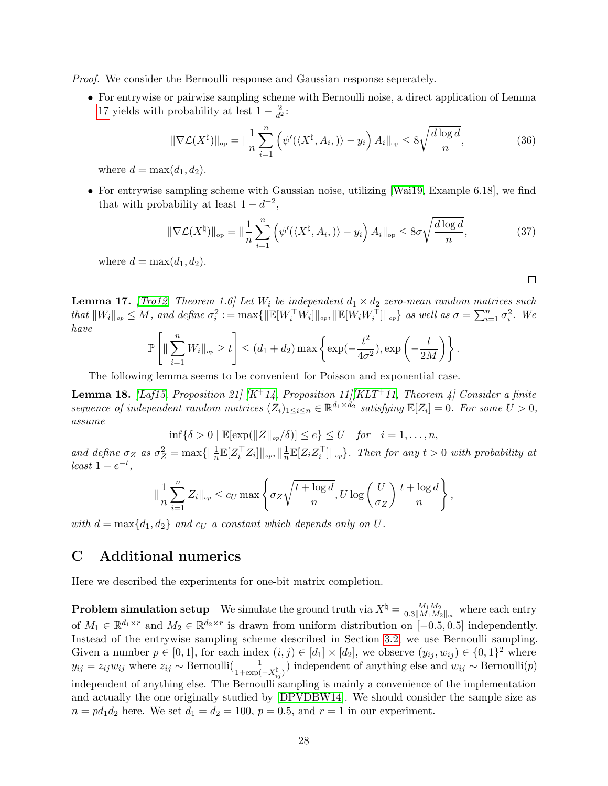Proof. We consider the Bernoulli response and Gaussian response seperately.

• For entrywise or pairwise sampling scheme with Bernoulli noise, a direct application of Lemma [17](#page-27-1) yields with probability at lest  $1 - \frac{2}{d^2}$  $\frac{2}{d^2}$ :

$$
\|\nabla \mathcal{L}(X^{\natural})\|_{\text{op}} = \|\frac{1}{n}\sum_{i=1}^{n} \left(\psi'(\langle X^{\natural}, A_i, \rangle) - y_i\right) A_i\|_{\text{op}} \le 8\sqrt{\frac{d\log d}{n}},\tag{36}
$$

where  $d = \max(d_1, d_2)$ .

• For entrywise sampling scheme with Gaussian noise, utilizing [\[Wai19,](#page-17-3) Example 6.18], we find that with probability at least  $1 - d^{-2}$ ,

$$
\|\nabla \mathcal{L}(X^{\natural})\|_{\text{op}} = \|\frac{1}{n}\sum_{i=1}^{n} \left(\psi'(\langle X^{\natural}, A_i, \rangle) - y_i\right) A_i\|_{\text{op}} \le 8\sigma \sqrt{\frac{d\log d}{n}},\tag{37}
$$

 $\Box$ 

where  $d = \max(d_1, d_2)$ .

<span id="page-27-1"></span>**Lemma 17.** [\[Tro12,](#page-17-12) Theorem 1.6] Let  $W_i$  be independent  $d_1 \times d_2$  zero-mean random matrices such that  $||W_i||_{op} \leq M$ , and define  $\sigma_i^2 := \max{||\mathbb{E}[W_i^\top W_i]||_{op}, ||\mathbb{E}[W_i W_i^\top]||_{op}}$  as well as  $\sigma = \sum_{i=1}^n \sigma_i^2$ . We have

$$
\mathbb{P}\left[\|\sum_{i=1}^n W_i\|_{op}\geq t\right]\leq (d_1+d_2)\max\left\{\exp(-\frac{t^2}{4\sigma^2}), \exp\left(-\frac{t}{2M}\right)\right\}.
$$

The following lemma seems to be convenient for Poisson and exponential case.

**Lemma 18.** [\[Laf15,](#page-16-7) Proposition 21]  $[K^+ 14,$  $[K^+ 14,$  Proposition 11] [\[KLT](#page-16-14)<sup>+</sup>11, Theorem 4] Consider a finite sequence of independent random matrices  $(Z_i)_{1 \leq i \leq n} \in \mathbb{R}^{d_1 \times d_2}$  satisfying  $\mathbb{E}[Z_i] = 0$ . For some  $U > 0$ , assume

 $\inf{\delta > 0 \mid \mathbb{E}[\exp(||Z||_{op}/\delta)] \leq e} \leq U$  for  $i = 1, \ldots, n$ ,

and define  $\sigma_Z$  as  $\sigma_Z^2 = \max\{||\frac{1}{n}\mathbb{E}[Z_i^\top Z_i]||_{op}, ||\frac{1}{n}\}$  $\frac{1}{n} \mathbb{E}[Z_i Z_i^{\top}] \|_{op}$ . Then for any  $t > 0$  with probability at  $least 1-e^{-t},$ 

$$
\|\frac{1}{n}\sum_{i=1}^n Z_i\|_{op} \leq c_U \max\left\{\sigma_Z\sqrt{\frac{t+\log d}{n}}, U \log\left(\frac{U}{\sigma_Z}\right) \frac{t+\log d}{n}\right\},\
$$

<span id="page-27-0"></span>with  $d = \max\{d_1, d_2\}$  and  $c_U$  a constant which depends only on U.

# C Additional numerics

Here we described the experiments for one-bit matrix completion.

**Problem simulation setup** We simulate the ground truth via  $X^{\dagger} = \frac{M_1 M_2}{0.3 \parallel M_1 M_2 \parallel}$  $\frac{M_1 M_2}{0.3\|M_1M_2\|_{\infty}}$  where each entry of  $M_1 \in \mathbb{R}^{d_1 \times r}$  and  $M_2 \in \mathbb{R}^{d_2 \times r}$  is drawn from uniform distribution on  $[-0.5, 0.5]$  independently. Instead of the entrywise sampling scheme described in Section [3.2,](#page-10-0) we use Bernoulli sampling. Given a number  $p \in [0,1]$ , for each index  $(i, j) \in [d_1] \times [d_2]$ , we observe  $(y_{ij}, w_{ij}) \in \{0,1\}^2$  where  $y_{ij} = z_{ij} w_{ij}$  where  $z_{ij} \sim \text{Bernoulli}(\frac{1}{1 + \text{sum}})$  $\frac{1}{1+\exp(-X_{ij}^{\sharp})})$  independent of anything else and  $w_{ij} \sim \text{Bernoulli}(p)$ independent of anything else. The Bernoulli sampling is mainly a convenience of the implementation and actually the one originally studied by [\[DPVDBW14\]](#page-16-1). We should consider the sample size as  $n = pd_1d_2$  here. We set  $d_1 = d_2 = 100$ ,  $p = 0.5$ , and  $r = 1$  in our experiment.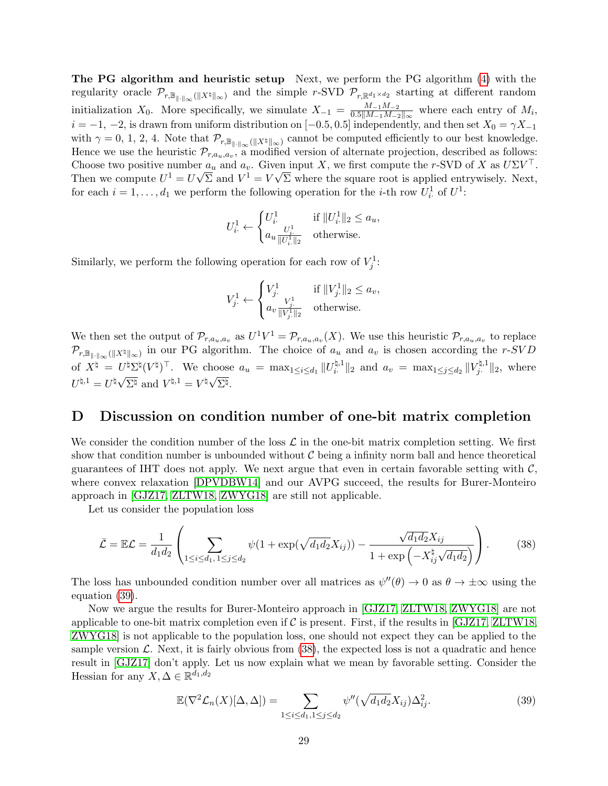The PG algorithm and heuristic setup Next, we perform the PG algorithm [\(4\)](#page-1-1) with the regularity oracle  $\mathcal{P}_{r,\mathbb{B}_{\|\cdot\|_{\infty}}(\|X^{\natural}\|_{\infty})}$  and the simple r-SVD  $\mathcal{P}_{r,\mathbb{R}^{d_1\times d_2}}$  starting at different random initialization  $X_0$ . More specifically, we simulate  $X_{-1} = \frac{M_{-1}M_{-2}}{0.5|M_{-1}M_{-2}|}$  $\frac{M-1 M-2}{0.5||M-1 M-2||_{\infty}}$  where each entry of  $M_i$ ,  $i = -1, -2$ , is drawn from uniform distribution on [-0.5, 0.5] independently, and then set  $X_0 = \gamma X_{-1}$ with  $\gamma = 0, 1, 2, 4$ . Note that  $\mathcal{P}_{r,\mathbb{B}_{\|\cdot\|_\infty}(\|X^\natural\|_\infty)}$  cannot be computed efficiently to our best knowledge. Hence we use the heuristic  $\mathcal{P}_{r,a_u,a_v}$ , a modified version of alternate projection, described as follows: Choose two positive number  $a_u$  and  $a_v$ . Given input X, we first compute the r-SVD of X as  $U\Sigma V^{\top}$ . Then we compute  $U^1 = U\sqrt{\Sigma}$  and  $V^1 = V\sqrt{\Sigma}$  where the square root is applied entrywisely. Next, for each  $i = 1, ..., d_1$  we perform the following operation for the *i*-th row  $U_i^1$  of  $U^1$ :

$$
U^1_i \leftarrow \begin{cases} U^1_i & \text{if } ||U^1_i||_2 \le a_u, \\ a_u \frac{U^1_i}{||U^1_i||_2} & \text{otherwise.} \end{cases}
$$

Similarly, we perform the following operation for each row of  $V_j^1$ :

$$
V_{j\cdot}^{1} \leftarrow \begin{cases} V_{j\cdot}^{1} & \text{if } ||V_{j\cdot}^{1}||_{2} \le a_{v}, \\ a_{v} \frac{V_{j\cdot}^{1}}{||V_{j\cdot}^{1}||_{2}} & \text{otherwise.} \end{cases}
$$

We then set the output of  $\mathcal{P}_{r,a_u,a_v}$  as  $U^1V^1 = \mathcal{P}_{r,a_u,a_v}(X)$ . We use this heuristic  $\mathcal{P}_{r,a_u,a_v}$  to replace  $\mathcal{P}_{r,\mathbb{B}_{\|\cdot\|_{\infty}}(\|X^\natural\|_{\infty})}$  in our PG algorithm. The choice of  $a_u$  and  $a_v$  is chosen according the r-SVD of  $X^{\natural} = U^{\natural} \Sigma^{\natural} (V^{\natural})^{\top}$ . We choose  $a_u = \max_{1 \leq i \leq d_1} ||U_i^{\natural,1}||$  $\|u_i^{l,1}\|_2$  and  $a_v = \max_{1 \leq j \leq d_2} \|V_j^{l,1}\|_2$  $U^{\sharp} \Sigma^{\sharp} (V^{\sharp})^{\perp}$ . We choose  $a_u = \max_{1 \leq i \leq d_1} ||U_i^{\sharp,\perp}||_2$  and  $a_v = \max_{1 \leq j \leq d_2} ||V_j^{\sharp,\perp}||_2$ , where  $U^{\natural,1} = U^\natural \sqrt{\Sigma^\natural} \text{ and } V^{\natural,1} = V^\natural \sqrt{\Sigma^\natural}.$ 

### <span id="page-28-0"></span>D Discussion on condition number of one-bit matrix completion

We consider the condition number of the loss  $\mathcal L$  in the one-bit matrix completion setting. We first show that condition number is unbounded without  $\mathcal C$  being a infinity norm ball and hence theoretical guarantees of IHT does not apply. We next argue that even in certain favorable setting with  $\mathcal{C}$ , where convex relaxation [\[DPVDBW14\]](#page-16-1) and our AVPG succeed, the results for Burer-Monteiro approach in [\[GJZ17,](#page-16-10) [ZLTW18,](#page-17-6) [ZWYG18\]](#page-17-7) are still not applicable.

Let us consider the population loss

<span id="page-28-2"></span>
$$
\bar{\mathcal{L}} = \mathbb{E}\mathcal{L} = \frac{1}{d_1 d_2} \left( \sum_{1 \le i \le d_1, 1 \le j \le d_2} \psi(1 + \exp(\sqrt{d_1 d_2} X_{ij})) - \frac{\sqrt{d_1 d_2} X_{ij}}{1 + \exp(-X_{ij}^{\natural} \sqrt{d_1 d_2})} \right).
$$
(38)

The loss has unbounded condition number over all matrices as  $\psi''(\theta) \to 0$  as  $\theta \to \pm \infty$  using the equation [\(39\)](#page-28-1).

Now we argue the results for Burer-Monteiro approach in [\[GJZ17,](#page-16-10) [ZLTW18,](#page-17-6) [ZWYG18\]](#page-17-7) are not applicable to one-bit matrix completion even if  $C$  is present. First, if the results in [\[GJZ17,](#page-16-10) [ZLTW18,](#page-17-6) [ZWYG18\]](#page-17-7) is not applicable to the population loss, one should not expect they can be applied to the sample version  $\mathcal{L}$ . Next, it is fairly obvious from [\(38\)](#page-28-2), the expected loss is not a quadratic and hence result in [\[GJZ17\]](#page-16-10) don't apply. Let us now explain what we mean by favorable setting. Consider the Hessian for any  $X, \Delta \in \mathbb{R}^{d_1, d_2}$ 

<span id="page-28-1"></span>
$$
\mathbb{E}(\nabla^2 \mathcal{L}_n(X)[\Delta, \Delta]) = \sum_{1 \le i \le d_1, 1 \le j \le d_2} \psi''(\sqrt{d_1 d_2} X_{ij}) \Delta_{ij}^2.
$$
 (39)